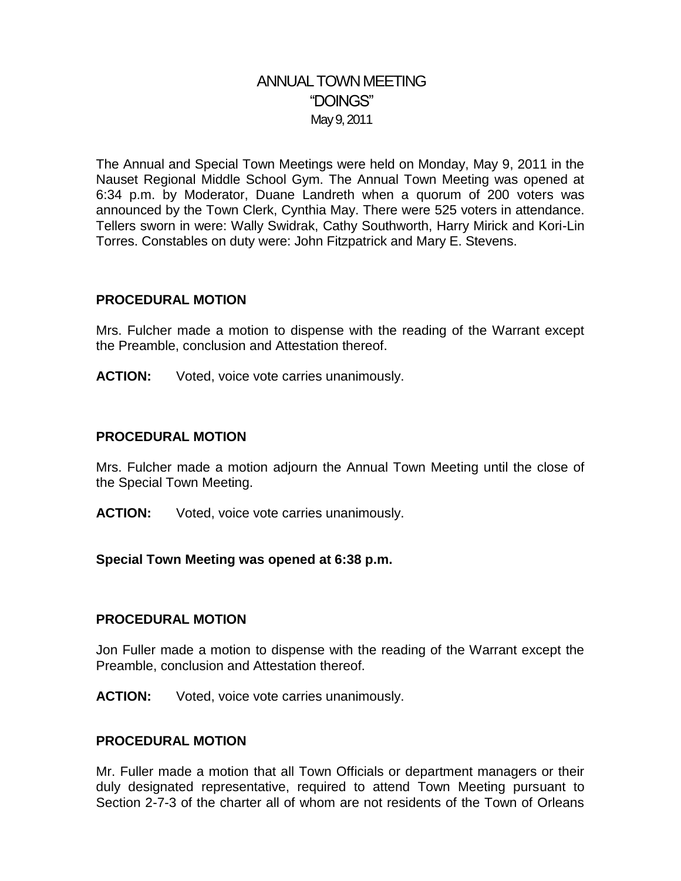# ANNUAL TOWN MEETING "DOINGS" May 9, 2011

The Annual and Special Town Meetings were held on Monday, May 9, 2011 in the Nauset Regional Middle School Gym. The Annual Town Meeting was opened at 6:34 p.m. by Moderator, Duane Landreth when a quorum of 200 voters was announced by the Town Clerk, Cynthia May. There were 525 voters in attendance. Tellers sworn in were: Wally Swidrak, Cathy Southworth, Harry Mirick and Kori-Lin Torres. Constables on duty were: John Fitzpatrick and Mary E. Stevens.

#### **PROCEDURAL MOTION**

Mrs. Fulcher made a motion to dispense with the reading of the Warrant except the Preamble, conclusion and Attestation thereof.

**ACTION:** Voted, voice vote carries unanimously.

#### **PROCEDURAL MOTION**

Mrs. Fulcher made a motion adjourn the Annual Town Meeting until the close of the Special Town Meeting.

**ACTION:** Voted, voice vote carries unanimously.

#### **Special Town Meeting was opened at 6:38 p.m.**

#### **PROCEDURAL MOTION**

Jon Fuller made a motion to dispense with the reading of the Warrant except the Preamble, conclusion and Attestation thereof.

**ACTION:** Voted, voice vote carries unanimously.

#### **PROCEDURAL MOTION**

Mr. Fuller made a motion that all Town Officials or department managers or their duly designated representative, required to attend Town Meeting pursuant to Section 2-7-3 of the charter all of whom are not residents of the Town of Orleans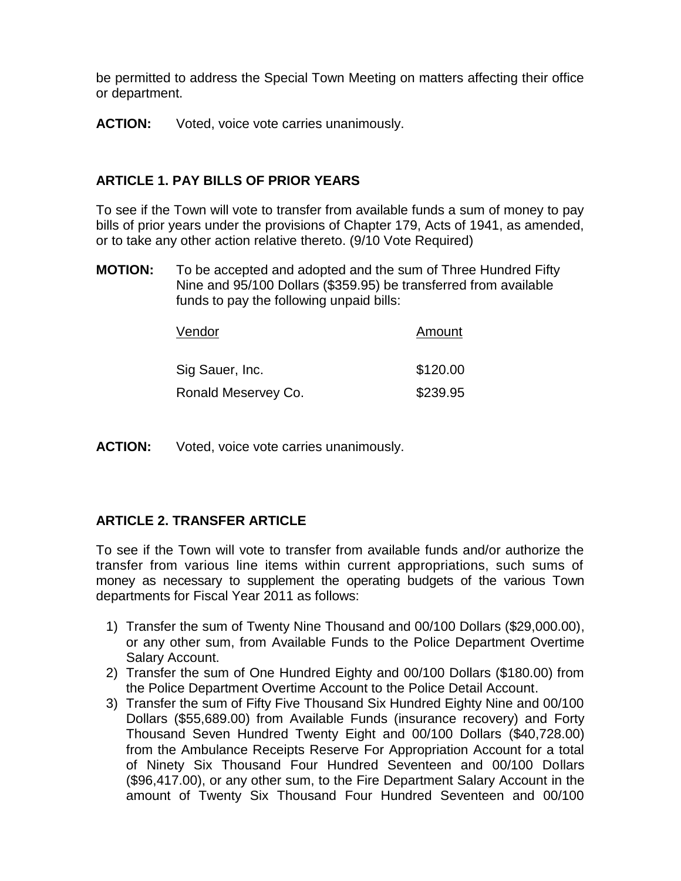be permitted to address the Special Town Meeting on matters affecting their office or department.

**ACTION:** Voted, voice vote carries unanimously.

## **ARTICLE 1. PAY BILLS OF PRIOR YEARS**

To see if the Town will vote to transfer from available funds a sum of money to pay bills of prior years under the provisions of Chapter 179, Acts of 1941, as amended, or to take any other action relative thereto. (9/10 Vote Required)

**MOTION:** To be accepted and adopted and the sum of Three Hundred Fifty Nine and 95/100 Dollars (\$359.95) be transferred from available funds to pay the following unpaid bills:

| Vendor              | Amount   |
|---------------------|----------|
| Sig Sauer, Inc.     | \$120.00 |
| Ronald Meservey Co. | \$239.95 |

**ACTION:** Voted, voice vote carries unanimously.

### **ARTICLE 2. TRANSFER ARTICLE**

To see if the Town will vote to transfer from available funds and/or authorize the transfer from various line items within current appropriations, such sums of money as necessary to supplement the operating budgets of the various Town departments for Fiscal Year 2011 as follows:

- 1) Transfer the sum of Twenty Nine Thousand and 00/100 Dollars (\$29,000.00), or any other sum, from Available Funds to the Police Department Overtime Salary Account.
- 2) Transfer the sum of One Hundred Eighty and 00/100 Dollars (\$180.00) from the Police Department Overtime Account to the Police Detail Account.
- 3) Transfer the sum of Fifty Five Thousand Six Hundred Eighty Nine and 00/100 Dollars (\$55,689.00) from Available Funds (insurance recovery) and Forty Thousand Seven Hundred Twenty Eight and 00/100 Dollars (\$40,728.00) from the Ambulance Receipts Reserve For Appropriation Account for a total of Ninety Six Thousand Four Hundred Seventeen and 00/100 Dollars (\$96,417.00), or any other sum, to the Fire Department Salary Account in the amount of Twenty Six Thousand Four Hundred Seventeen and 00/100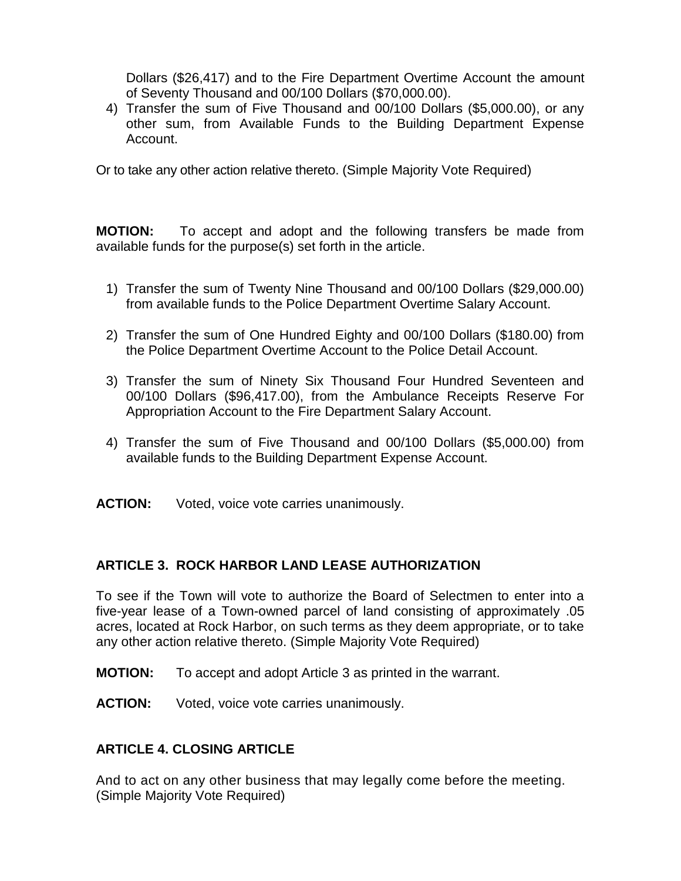Dollars (\$26,417) and to the Fire Department Overtime Account the amount of Seventy Thousand and 00/100 Dollars (\$70,000.00).

4) Transfer the sum of Five Thousand and 00/100 Dollars (\$5,000.00), or any other sum, from Available Funds to the Building Department Expense Account.

Or to take any other action relative thereto. (Simple Majority Vote Required)

**MOTION:** To accept and adopt and the following transfers be made from available funds for the purpose(s) set forth in the article.

- 1) Transfer the sum of Twenty Nine Thousand and 00/100 Dollars (\$29,000.00) from available funds to the Police Department Overtime Salary Account.
- 2) Transfer the sum of One Hundred Eighty and 00/100 Dollars (\$180.00) from the Police Department Overtime Account to the Police Detail Account.
- 3) Transfer the sum of Ninety Six Thousand Four Hundred Seventeen and 00/100 Dollars (\$96,417.00), from the Ambulance Receipts Reserve For Appropriation Account to the Fire Department Salary Account.
- 4) Transfer the sum of Five Thousand and 00/100 Dollars (\$5,000.00) from available funds to the Building Department Expense Account.
- **ACTION:** Voted, voice vote carries unanimously.

## **ARTICLE 3. ROCK HARBOR LAND LEASE AUTHORIZATION**

To see if the Town will vote to authorize the Board of Selectmen to enter into a five-year lease of a Town-owned parcel of land consisting of approximately .05 acres, located at Rock Harbor, on such terms as they deem appropriate, or to take any other action relative thereto. (Simple Majority Vote Required)

- **MOTION:** To accept and adopt Article 3 as printed in the warrant.
- **ACTION:** Voted, voice vote carries unanimously.

## **ARTICLE 4. CLOSING ARTICLE**

And to act on any other business that may legally come before the meeting. (Simple Majority Vote Required)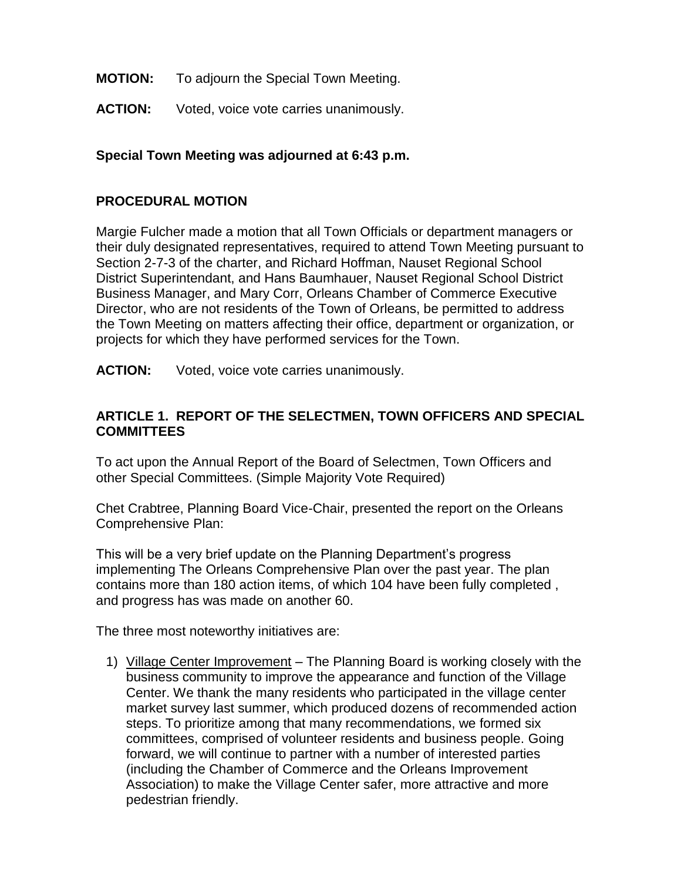- **MOTION:** To adjourn the Special Town Meeting.
- **ACTION:** Voted, voice vote carries unanimously.

## **Special Town Meeting was adjourned at 6:43 p.m.**

### **PROCEDURAL MOTION**

Margie Fulcher made a motion that all Town Officials or department managers or their duly designated representatives, required to attend Town Meeting pursuant to Section 2-7-3 of the charter, and Richard Hoffman, Nauset Regional School District Superintendant, and Hans Baumhauer, Nauset Regional School District Business Manager, and Mary Corr, Orleans Chamber of Commerce Executive Director, who are not residents of the Town of Orleans, be permitted to address the Town Meeting on matters affecting their office, department or organization, or projects for which they have performed services for the Town.

**ACTION:** Voted, voice vote carries unanimously.

## **ARTICLE 1. REPORT OF THE SELECTMEN, TOWN OFFICERS AND SPECIAL COMMITTEES**

To act upon the Annual Report of the Board of Selectmen, Town Officers and other Special Committees. (Simple Majority Vote Required)

Chet Crabtree, Planning Board Vice-Chair, presented the report on the Orleans Comprehensive Plan:

This will be a very brief update on the Planning Department's progress implementing The Orleans Comprehensive Plan over the past year. The plan contains more than 180 action items, of which 104 have been fully completed , and progress has was made on another 60.

The three most noteworthy initiatives are:

1) Village Center Improvement – The Planning Board is working closely with the business community to improve the appearance and function of the Village Center. We thank the many residents who participated in the village center market survey last summer, which produced dozens of recommended action steps. To prioritize among that many recommendations, we formed six committees, comprised of volunteer residents and business people. Going forward, we will continue to partner with a number of interested parties (including the Chamber of Commerce and the Orleans Improvement Association) to make the Village Center safer, more attractive and more pedestrian friendly.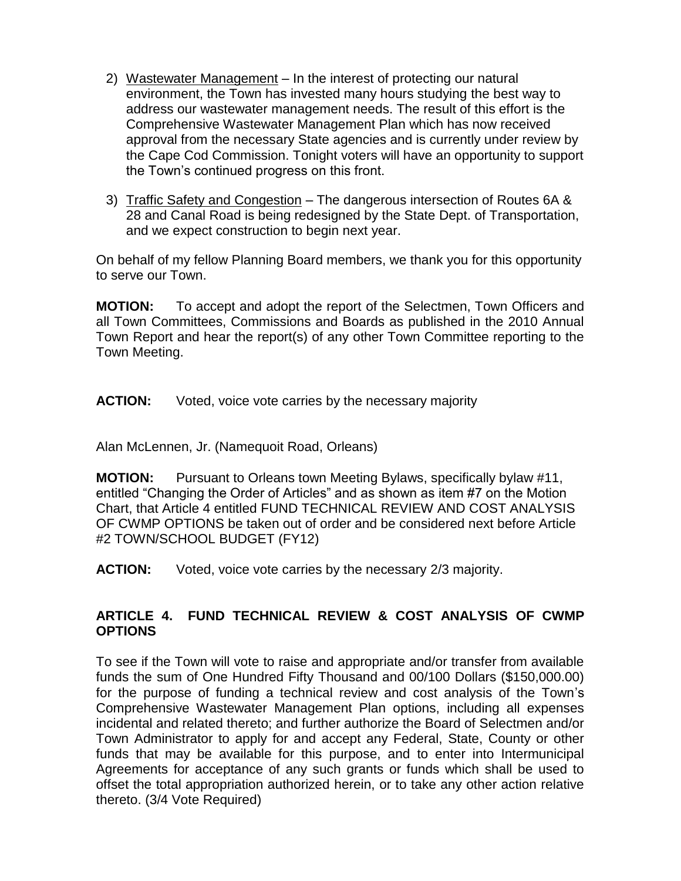- 2) Wastewater Management In the interest of protecting our natural environment, the Town has invested many hours studying the best way to address our wastewater management needs. The result of this effort is the Comprehensive Wastewater Management Plan which has now received approval from the necessary State agencies and is currently under review by the Cape Cod Commission. Tonight voters will have an opportunity to support the Town's continued progress on this front.
- 3) Traffic Safety and Congestion The dangerous intersection of Routes 6A & 28 and Canal Road is being redesigned by the State Dept. of Transportation, and we expect construction to begin next year.

On behalf of my fellow Planning Board members, we thank you for this opportunity to serve our Town.

**MOTION:** To accept and adopt the report of the Selectmen, Town Officers and all Town Committees, Commissions and Boards as published in the 2010 Annual Town Report and hear the report(s) of any other Town Committee reporting to the Town Meeting.

**ACTION:** Voted, voice vote carries by the necessary majority

Alan McLennen, Jr. (Namequoit Road, Orleans)

**MOTION:** Pursuant to Orleans town Meeting Bylaws, specifically bylaw #11, entitled "Changing the Order of Articles" and as shown as item #7 on the Motion Chart, that Article 4 entitled FUND TECHNICAL REVIEW AND COST ANALYSIS OF CWMP OPTIONS be taken out of order and be considered next before Article #2 TOWN/SCHOOL BUDGET (FY12)

**ACTION:** Voted, voice vote carries by the necessary 2/3 majority.

## **ARTICLE 4. FUND TECHNICAL REVIEW & COST ANALYSIS OF CWMP OPTIONS**

To see if the Town will vote to raise and appropriate and/or transfer from available funds the sum of One Hundred Fifty Thousand and 00/100 Dollars (\$150,000.00) for the purpose of funding a technical review and cost analysis of the Town's Comprehensive Wastewater Management Plan options, including all expenses incidental and related thereto; and further authorize the Board of Selectmen and/or Town Administrator to apply for and accept any Federal, State, County or other funds that may be available for this purpose, and to enter into Intermunicipal Agreements for acceptance of any such grants or funds which shall be used to offset the total appropriation authorized herein, or to take any other action relative thereto. (3/4 Vote Required)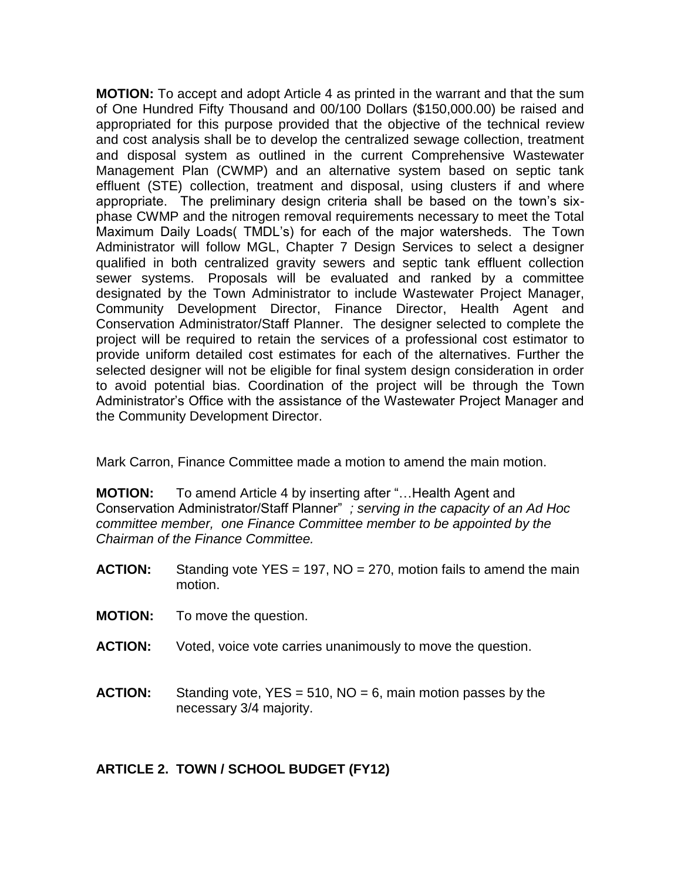**MOTION:** To accept and adopt Article 4 as printed in the warrant and that the sum of One Hundred Fifty Thousand and 00/100 Dollars (\$150,000.00) be raised and appropriated for this purpose provided that the objective of the technical review and cost analysis shall be to develop the centralized sewage collection, treatment and disposal system as outlined in the current Comprehensive Wastewater Management Plan (CWMP) and an alternative system based on septic tank effluent (STE) collection, treatment and disposal, using clusters if and where appropriate. The preliminary design criteria shall be based on the town's sixphase CWMP and the nitrogen removal requirements necessary to meet the Total Maximum Daily Loads( TMDL's) for each of the major watersheds. The Town Administrator will follow MGL, Chapter 7 Design Services to select a designer qualified in both centralized gravity sewers and septic tank effluent collection sewer systems. Proposals will be evaluated and ranked by a committee designated by the Town Administrator to include Wastewater Project Manager, Community Development Director, Finance Director, Health Agent and Conservation Administrator/Staff Planner. The designer selected to complete the project will be required to retain the services of a professional cost estimator to provide uniform detailed cost estimates for each of the alternatives. Further the selected designer will not be eligible for final system design consideration in order to avoid potential bias. Coordination of the project will be through the Town Administrator's Office with the assistance of the Wastewater Project Manager and the Community Development Director.

Mark Carron, Finance Committee made a motion to amend the main motion.

**MOTION:** To amend Article 4 by inserting after "…Health Agent and Conservation Administrator/Staff Planner" *; serving in the capacity of an Ad Hoc committee member, one Finance Committee member to be appointed by the Chairman of the Finance Committee.*

- **ACTION:** Standing vote YES = 197, NO = 270, motion fails to amend the main motion.
- **MOTION:** To move the question.
- **ACTION:** Voted, voice vote carries unanimously to move the question.
- **ACTION:** Standing vote, YES = 510, NO = 6, main motion passes by the necessary 3/4 majority.

## **ARTICLE 2. TOWN / SCHOOL BUDGET (FY12)**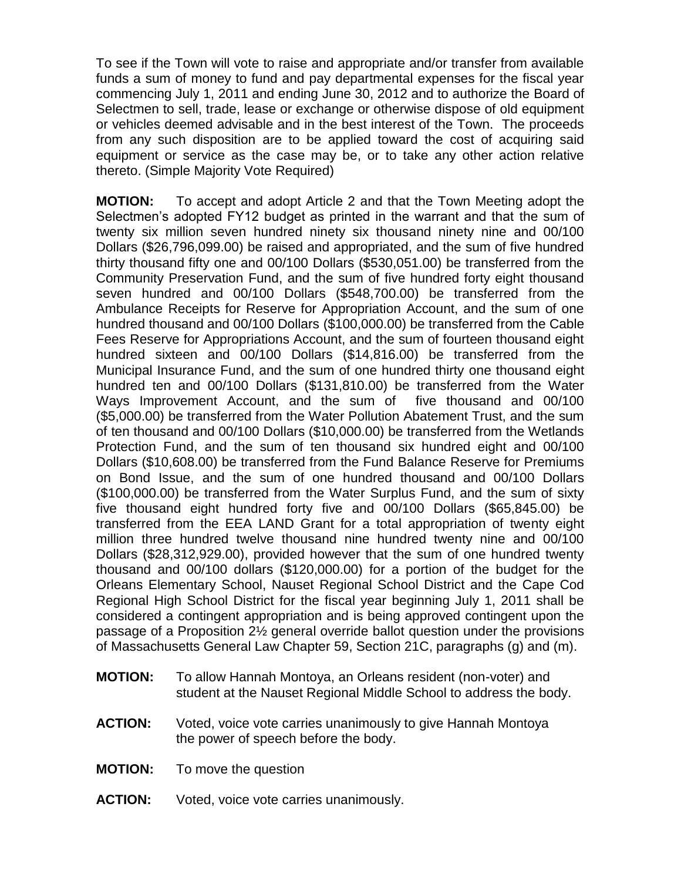To see if the Town will vote to raise and appropriate and/or transfer from available funds a sum of money to fund and pay departmental expenses for the fiscal year commencing July 1, 2011 and ending June 30, 2012 and to authorize the Board of Selectmen to sell, trade, lease or exchange or otherwise dispose of old equipment or vehicles deemed advisable and in the best interest of the Town. The proceeds from any such disposition are to be applied toward the cost of acquiring said equipment or service as the case may be, or to take any other action relative thereto. (Simple Majority Vote Required)

**MOTION:** To accept and adopt Article 2 and that the Town Meeting adopt the Selectmen's adopted FY12 budget as printed in the warrant and that the sum of twenty six million seven hundred ninety six thousand ninety nine and 00/100 Dollars (\$26,796,099.00) be raised and appropriated, and the sum of five hundred thirty thousand fifty one and 00/100 Dollars (\$530,051.00) be transferred from the Community Preservation Fund, and the sum of five hundred forty eight thousand seven hundred and 00/100 Dollars (\$548,700.00) be transferred from the Ambulance Receipts for Reserve for Appropriation Account, and the sum of one hundred thousand and 00/100 Dollars (\$100,000.00) be transferred from the Cable Fees Reserve for Appropriations Account, and the sum of fourteen thousand eight hundred sixteen and 00/100 Dollars (\$14,816.00) be transferred from the Municipal Insurance Fund, and the sum of one hundred thirty one thousand eight hundred ten and 00/100 Dollars (\$131,810.00) be transferred from the Water Ways Improvement Account, and the sum of five thousand and 00/100 (\$5,000.00) be transferred from the Water Pollution Abatement Trust, and the sum of ten thousand and 00/100 Dollars (\$10,000.00) be transferred from the Wetlands Protection Fund, and the sum of ten thousand six hundred eight and 00/100 Dollars (\$10,608.00) be transferred from the Fund Balance Reserve for Premiums on Bond Issue, and the sum of one hundred thousand and 00/100 Dollars (\$100,000.00) be transferred from the Water Surplus Fund, and the sum of sixty five thousand eight hundred forty five and 00/100 Dollars (\$65,845.00) be transferred from the EEA LAND Grant for a total appropriation of twenty eight million three hundred twelve thousand nine hundred twenty nine and 00/100 Dollars (\$28,312,929.00), provided however that the sum of one hundred twenty thousand and 00/100 dollars (\$120,000.00) for a portion of the budget for the Orleans Elementary School, Nauset Regional School District and the Cape Cod Regional High School District for the fiscal year beginning July 1, 2011 shall be considered a contingent appropriation and is being approved contingent upon the passage of a Proposition 2½ general override ballot question under the provisions of Massachusetts General Law Chapter 59, Section 21C, paragraphs (g) and (m).

- **MOTION:** To allow Hannah Montoya, an Orleans resident (non-voter) and student at the Nauset Regional Middle School to address the body.
- **ACTION:** Voted, voice vote carries unanimously to give Hannah Montoya the power of speech before the body.
- **MOTION:** To move the question
- **ACTION:** Voted, voice vote carries unanimously.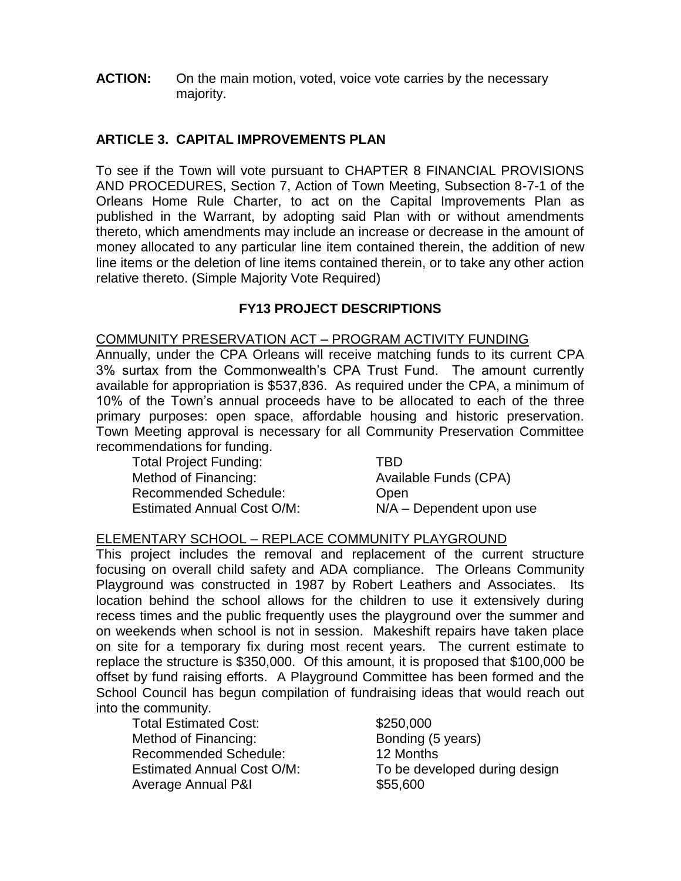**ACTION:** On the main motion, voted, voice vote carries by the necessary majority.

## **ARTICLE 3. CAPITAL IMPROVEMENTS PLAN**

To see if the Town will vote pursuant to CHAPTER 8 FINANCIAL PROVISIONS AND PROCEDURES, Section 7, Action of Town Meeting, Subsection 8-7-1 of the Orleans Home Rule Charter, to act on the Capital Improvements Plan as published in the Warrant, by adopting said Plan with or without amendments thereto, which amendments may include an increase or decrease in the amount of money allocated to any particular line item contained therein, the addition of new line items or the deletion of line items contained therein, or to take any other action relative thereto. (Simple Majority Vote Required)

### **FY13 PROJECT DESCRIPTIONS**

#### COMMUNITY PRESERVATION ACT – PROGRAM ACTIVITY FUNDING

Annually, under the CPA Orleans will receive matching funds to its current CPA 3% surtax from the Commonwealth's CPA Trust Fund. The amount currently available for appropriation is \$537,836. As required under the CPA, a minimum of 10% of the Town's annual proceeds have to be allocated to each of the three primary purposes: open space, affordable housing and historic preservation. Town Meeting approval is necessary for all Community Preservation Committee recommendations for funding.

Total Project Funding: TBD Method of Financing: Available Funds (CPA) Recommended Schedule: Chen Estimated Annual Cost O/M: N/A – Dependent upon use

### ELEMENTARY SCHOOL – REPLACE COMMUNITY PLAYGROUND

This project includes the removal and replacement of the current structure focusing on overall child safety and ADA compliance. The Orleans Community Playground was constructed in 1987 by Robert Leathers and Associates. Its location behind the school allows for the children to use it extensively during recess times and the public frequently uses the playground over the summer and on weekends when school is not in session. Makeshift repairs have taken place on site for a temporary fix during most recent years. The current estimate to replace the structure is \$350,000. Of this amount, it is proposed that \$100,000 be offset by fund raising efforts. A Playground Committee has been formed and the School Council has begun compilation of fundraising ideas that would reach out into the community.

Total Estimated Cost: \$250,000 Method of Financing: Bonding (5 years) Recommended Schedule: 12 Months Average Annual P&I  $$55,600$ 

Estimated Annual Cost O/M: To be developed during design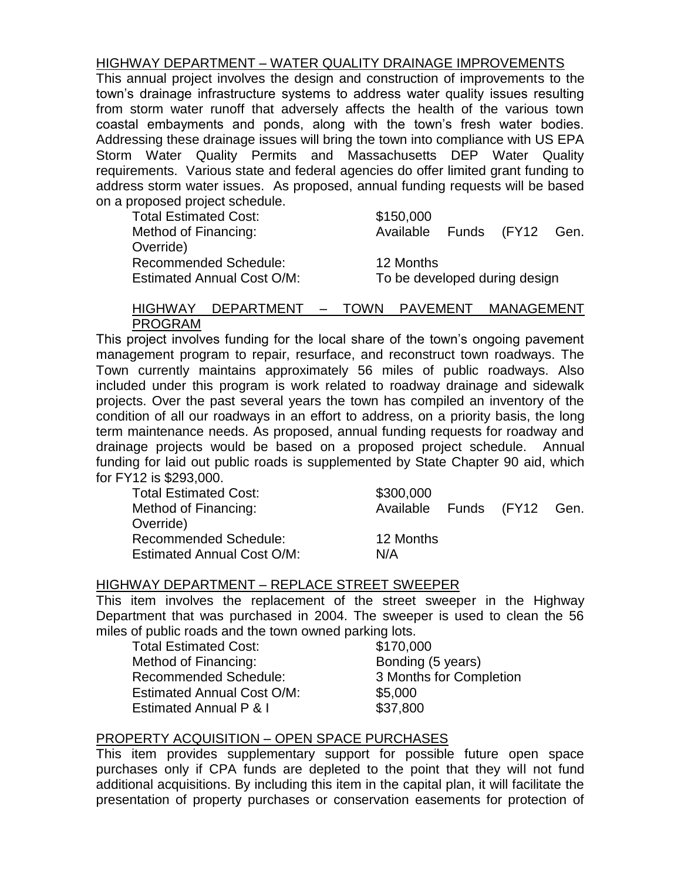#### HIGHWAY DEPARTMENT – WATER QUALITY DRAINAGE IMPROVEMENTS

This annual project involves the design and construction of improvements to the town's drainage infrastructure systems to address water quality issues resulting from storm water runoff that adversely affects the health of the various town coastal embayments and ponds, along with the town's fresh water bodies. Addressing these drainage issues will bring the town into compliance with US EPA Storm Water Quality Permits and Massachusetts DEP Water Quality requirements. Various state and federal agencies do offer limited grant funding to address storm water issues. As proposed, annual funding requests will be based on a proposed project schedule.

Total Estimated Cost: \$150,000 Method of Financing: The Available Funds (FY12 Gen. Override) Recommended Schedule: 12 Months Estimated Annual Cost O/M: To be developed during design

#### HIGHWAY DEPARTMENT – TOWN PAVEMENT MANAGEMENT PROGRAM

This project involves funding for the local share of the town's ongoing pavement management program to repair, resurface, and reconstruct town roadways. The Town currently maintains approximately 56 miles of public roadways. Also included under this program is work related to roadway drainage and sidewalk projects. Over the past several years the town has compiled an inventory of the condition of all our roadways in an effort to address, on a priority basis, the long term maintenance needs. As proposed, annual funding requests for roadway and drainage projects would be based on a proposed project schedule. Annual funding for laid out public roads is supplemented by State Chapter 90 aid, which for FY12 is \$293,000.

| <b>Total Estimated Cost:</b>      | \$300,000                  |  |  |
|-----------------------------------|----------------------------|--|--|
| Method of Financing:              | Available Funds (FY12 Gen. |  |  |
| Override)                         |                            |  |  |
| <b>Recommended Schedule:</b>      | 12 Months                  |  |  |
| <b>Estimated Annual Cost O/M:</b> | N/A                        |  |  |

#### HIGHWAY DEPARTMENT – REPLACE STREET SWEEPER

This item involves the replacement of the street sweeper in the Highway Department that was purchased in 2004. The sweeper is used to clean the 56 miles of public roads and the town owned parking lots.

Total Estimated Cost: \$170,000 Method of Financing: Bonding (5 years) Recommended Schedule: 3 Months for Completion Estimated Annual Cost O/M: \$5,000 Estimated Annual P & I \$37,800

### PROPERTY ACQUISITION – OPEN SPACE PURCHASES

This item provides supplementary support for possible future open space purchases only if CPA funds are depleted to the point that they will not fund additional acquisitions. By including this item in the capital plan, it will facilitate the presentation of property purchases or conservation easements for protection of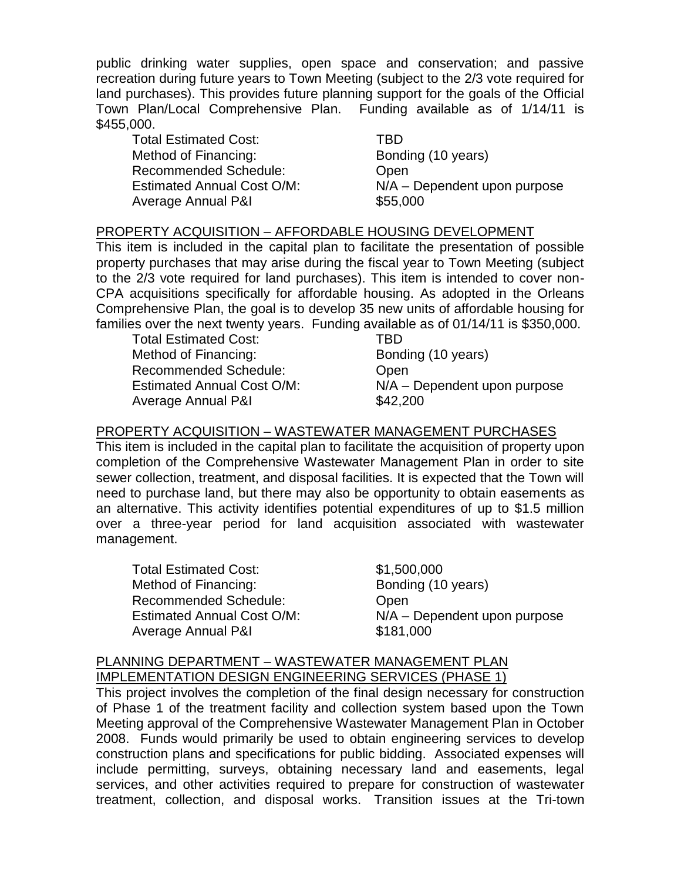public drinking water supplies, open space and conservation; and passive recreation during future years to Town Meeting (subject to the 2/3 vote required for land purchases). This provides future planning support for the goals of the Official Town Plan/Local Comprehensive Plan. Funding available as of 1/14/11 is \$455,000.

Total Estimated Cost: TBD Method of Financing: Bonding (10 years) Recommended Schedule: Open Average Annual P&I **\$55,000** 

Estimated Annual Cost O/M: N/A – Dependent upon purpose

#### PROPERTY ACQUISITION – AFFORDABLE HOUSING DEVELOPMENT

This item is included in the capital plan to facilitate the presentation of possible property purchases that may arise during the fiscal year to Town Meeting (subject to the 2/3 vote required for land purchases). This item is intended to cover non-CPA acquisitions specifically for affordable housing. As adopted in the Orleans Comprehensive Plan, the goal is to develop 35 new units of affordable housing for families over the next twenty years. Funding available as of 01/14/11 is \$350,000.

Total Estimated Cost: TBD Method of Financing: Bonding (10 years) Recommended Schedule: Chem Average Annual P&I  $$42,200$ 

Estimated Annual Cost O/M: N/A – Dependent upon purpose

### PROPERTY ACQUISITION – WASTEWATER MANAGEMENT PURCHASES

This item is included in the capital plan to facilitate the acquisition of property upon completion of the Comprehensive Wastewater Management Plan in order to site sewer collection, treatment, and disposal facilities. It is expected that the Town will need to purchase land, but there may also be opportunity to obtain easements as an alternative. This activity identifies potential expenditures of up to \$1.5 million over a three-year period for land acquisition associated with wastewater management.

Total Estimated Cost: \$1,500,000 Method of Financing: Bonding (10 years) Recommended Schedule: Open Average Annual P&I **\$181,000** 

Estimated Annual Cost O/M: N/A – Dependent upon purpose

#### PLANNING DEPARTMENT – WASTEWATER MANAGEMENT PLAN IMPLEMENTATION DESIGN ENGINEERING SERVICES (PHASE 1)

This project involves the completion of the final design necessary for construction of Phase 1 of the treatment facility and collection system based upon the Town Meeting approval of the Comprehensive Wastewater Management Plan in October 2008. Funds would primarily be used to obtain engineering services to develop construction plans and specifications for public bidding. Associated expenses will include permitting, surveys, obtaining necessary land and easements, legal services, and other activities required to prepare for construction of wastewater treatment, collection, and disposal works. Transition issues at the Tri-town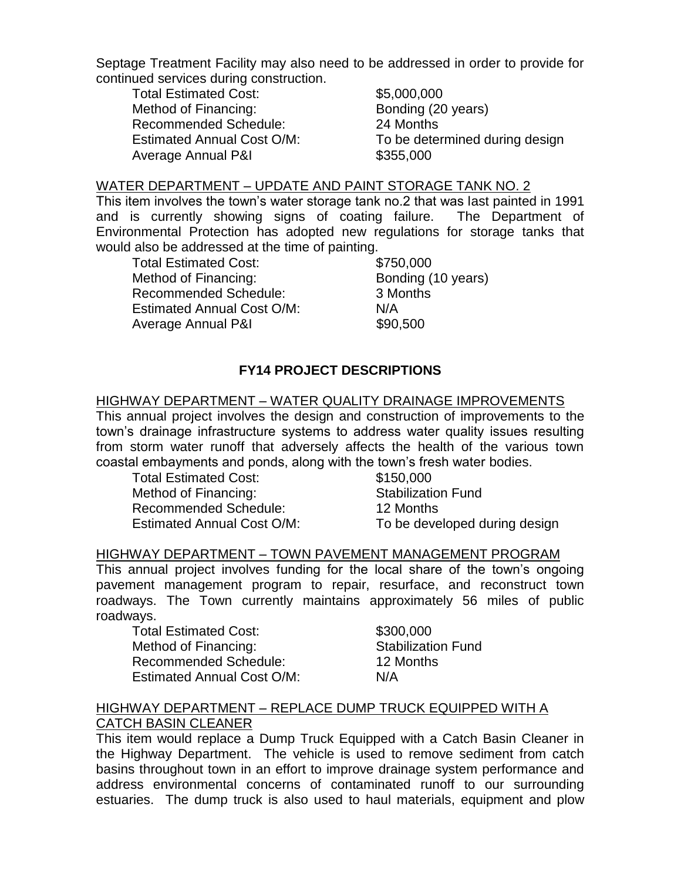Septage Treatment Facility may also need to be addressed in order to provide for continued services during construction.

Total Estimated Cost: \$5,000,000 Method of Financing: Bonding (20 years) Recommended Schedule: 24 Months Average Annual P&I  $$355,000$ 

Estimated Annual Cost O/M: To be determined during design

#### WATER DEPARTMENT – UPDATE AND PAINT STORAGE TANK NO. 2

This item involves the town's water storage tank no.2 that was last painted in 1991 and is currently showing signs of coating failure. The Department of Environmental Protection has adopted new regulations for storage tanks that would also be addressed at the time of painting.

Total Estimated Cost: \$750,000 Method of Financing: Bonding (10 years) Recommended Schedule: 3 Months Estimated Annual Cost O/M: N/A Average Annual P&I **\$90,500** 

## **FY14 PROJECT DESCRIPTIONS**

#### HIGHWAY DEPARTMENT – WATER QUALITY DRAINAGE IMPROVEMENTS

This annual project involves the design and construction of improvements to the town's drainage infrastructure systems to address water quality issues resulting from storm water runoff that adversely affects the health of the various town coastal embayments and ponds, along with the town's fresh water bodies.

Total Estimated Cost: \$150,000 Method of Financing: Stabilization Fund Recommended Schedule: 12 Months

Estimated Annual Cost O/M: To be developed during design

### HIGHWAY DEPARTMENT – TOWN PAVEMENT MANAGEMENT PROGRAM

This annual project involves funding for the local share of the town's ongoing pavement management program to repair, resurface, and reconstruct town roadways. The Town currently maintains approximately 56 miles of public roadways.

Total Estimated Cost: \$300,000 Method of Financing: Stabilization Fund Recommended Schedule: 12 Months Estimated Annual Cost O/M: N/A

#### HIGHWAY DEPARTMENT – REPLACE DUMP TRUCK EQUIPPED WITH A CATCH BASIN CLEANER

This item would replace a Dump Truck Equipped with a Catch Basin Cleaner in the Highway Department. The vehicle is used to remove sediment from catch basins throughout town in an effort to improve drainage system performance and address environmental concerns of contaminated runoff to our surrounding estuaries. The dump truck is also used to haul materials, equipment and plow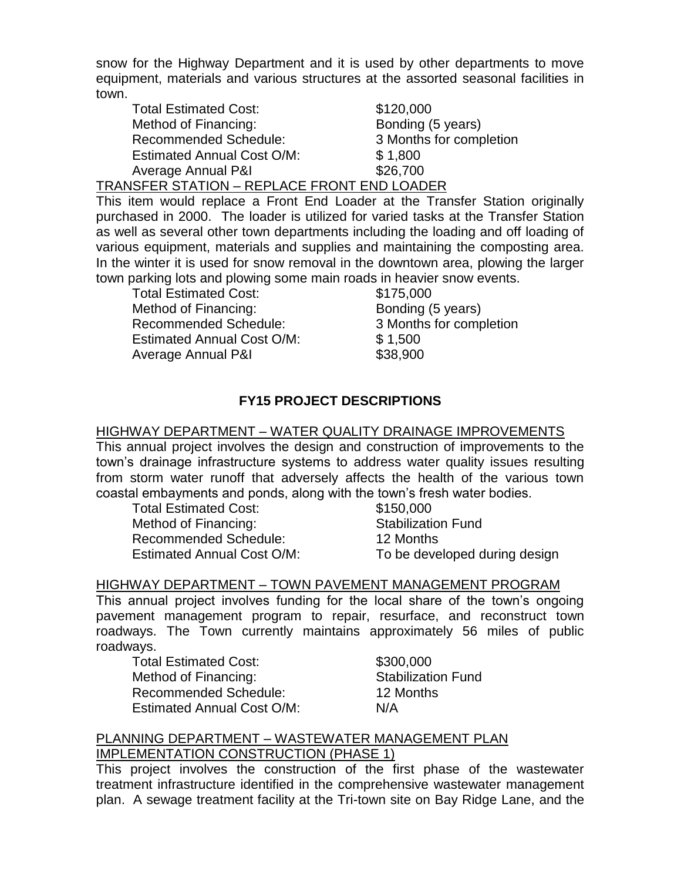snow for the Highway Department and it is used by other departments to move equipment, materials and various structures at the assorted seasonal facilities in town.

| <b>Total Estimated Cost:</b>      | \$120,000               |
|-----------------------------------|-------------------------|
| Method of Financing:              | Bonding (5 years)       |
| <b>Recommended Schedule:</b>      | 3 Months for completion |
| <b>Estimated Annual Cost O/M:</b> | \$1,800                 |
| Average Annual P&I                | \$26,700                |
| .                                 |                         |

TRANSFER STATION – REPLACE FRONT END LOADER

This item would replace a Front End Loader at the Transfer Station originally purchased in 2000. The loader is utilized for varied tasks at the Transfer Station as well as several other town departments including the loading and off loading of various equipment, materials and supplies and maintaining the composting area. In the winter it is used for snow removal in the downtown area, plowing the larger town parking lots and plowing some main roads in heavier snow events.

Total Estimated Cost: \$175,000 Method of Financing: Bonding (5 years) Recommended Schedule: 3 Months for completion Estimated Annual Cost O/M: \$1,500 Average Annual P&I **\$38,900** 

# **FY15 PROJECT DESCRIPTIONS**

### HIGHWAY DEPARTMENT – WATER QUALITY DRAINAGE IMPROVEMENTS

This annual project involves the design and construction of improvements to the town's drainage infrastructure systems to address water quality issues resulting from storm water runoff that adversely affects the health of the various town coastal embayments and ponds, along with the town's fresh water bodies.

Total Estimated Cost: \$150,000 Method of Financing: Stabilization Fund Recommended Schedule: 12 Months Estimated Annual Cost O/M: To be developed during design

## HIGHWAY DEPARTMENT – TOWN PAVEMENT MANAGEMENT PROGRAM

This annual project involves funding for the local share of the town's ongoing pavement management program to repair, resurface, and reconstruct town roadways. The Town currently maintains approximately 56 miles of public roadways.

Total Estimated Cost: \$300,000 Method of Financing: Stabilization Fund Recommended Schedule: 12 Months Estimated Annual Cost O/M: N/A

#### PLANNING DEPARTMENT – WASTEWATER MANAGEMENT PLAN IMPLEMENTATION CONSTRUCTION (PHASE 1)

This project involves the construction of the first phase of the wastewater treatment infrastructure identified in the comprehensive wastewater management plan. A sewage treatment facility at the Tri-town site on Bay Ridge Lane, and the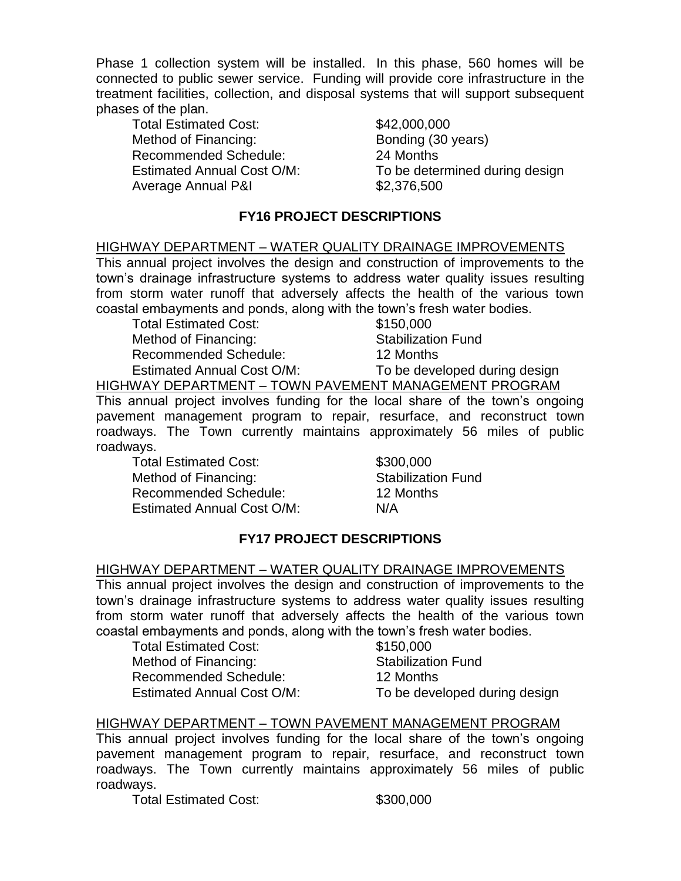Phase 1 collection system will be installed. In this phase, 560 homes will be connected to public sewer service. Funding will provide core infrastructure in the treatment facilities, collection, and disposal systems that will support subsequent phases of the plan.

Total Estimated Cost: \$42,000,000 Method of Financing: Bonding (30 years) Recommended Schedule: 24 Months Average Annual P&I  $$2,376,500$ 

Estimated Annual Cost O/M: To be determined during design

## **FY16 PROJECT DESCRIPTIONS**

#### HIGHWAY DEPARTMENT – WATER QUALITY DRAINAGE IMPROVEMENTS

This annual project involves the design and construction of improvements to the town's drainage infrastructure systems to address water quality issues resulting from storm water runoff that adversely affects the health of the various town coastal embayments and ponds, along with the town's fresh water bodies.

Total Estimated Cost: \$150,000 Method of Financing: Stabilization Fund Recommended Schedule: 12 Months

Estimated Annual Cost O/M: To be developed during design

HIGHWAY DEPARTMENT – TOWN PAVEMENT MANAGEMENT PROGRAM

This annual project involves funding for the local share of the town's ongoing pavement management program to repair, resurface, and reconstruct town roadways. The Town currently maintains approximately 56 miles of public roadways.

Total Estimated Cost: \$300,000 Method of Financing: Stabilization Fund Recommended Schedule: 12 Months Estimated Annual Cost O/M: N/A

### **FY17 PROJECT DESCRIPTIONS**

#### HIGHWAY DEPARTMENT – WATER QUALITY DRAINAGE IMPROVEMENTS

This annual project involves the design and construction of improvements to the town's drainage infrastructure systems to address water quality issues resulting from storm water runoff that adversely affects the health of the various town coastal embayments and ponds, along with the town's fresh water bodies.

Total Estimated Cost: \$150,000 Method of Financing: Stabilization Fund Recommended Schedule: 12 Months Estimated Annual Cost O/M: To be developed during design

### HIGHWAY DEPARTMENT – TOWN PAVEMENT MANAGEMENT PROGRAM

This annual project involves funding for the local share of the town's ongoing pavement management program to repair, resurface, and reconstruct town roadways. The Town currently maintains approximately 56 miles of public roadways.

Total Estimated Cost: \$300,000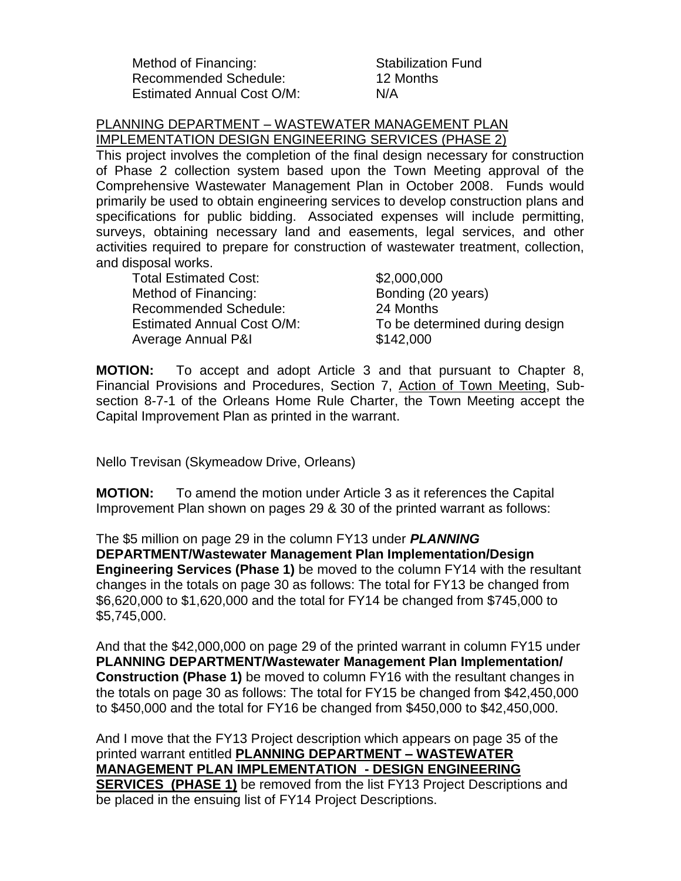Method of Financing: Stabilization Fund Recommended Schedule: 12 Months Estimated Annual Cost O/M: N/A

PLANNING DEPARTMENT – WASTEWATER MANAGEMENT PLAN IMPLEMENTATION DESIGN ENGINEERING SERVICES (PHASE 2)

This project involves the completion of the final design necessary for construction of Phase 2 collection system based upon the Town Meeting approval of the Comprehensive Wastewater Management Plan in October 2008. Funds would primarily be used to obtain engineering services to develop construction plans and specifications for public bidding. Associated expenses will include permitting, surveys, obtaining necessary land and easements, legal services, and other activities required to prepare for construction of wastewater treatment, collection, and disposal works.

Total Estimated Cost: \$2,000,000 Method of Financing: Bonding (20 years) Recommended Schedule: 24 Months Average Annual P&I **\$142,000** 

Estimated Annual Cost O/M: To be determined during design

**MOTION:** To accept and adopt Article 3 and that pursuant to Chapter 8, Financial Provisions and Procedures, Section 7, Action of Town Meeting, Subsection 8-7-1 of the Orleans Home Rule Charter, the Town Meeting accept the Capital Improvement Plan as printed in the warrant.

Nello Trevisan (Skymeadow Drive, Orleans)

**MOTION:** To amend the motion under Article 3 as it references the Capital Improvement Plan shown on pages 29 & 30 of the printed warrant as follows:

The \$5 million on page 29 in the column FY13 under *PLANNING*  **DEPARTMENT/Wastewater Management Plan Implementation/Design Engineering Services (Phase 1)** be moved to the column FY14 with the resultant changes in the totals on page 30 as follows: The total for FY13 be changed from \$6,620,000 to \$1,620,000 and the total for FY14 be changed from \$745,000 to \$5,745,000.

And that the \$42,000,000 on page 29 of the printed warrant in column FY15 under **PLANNING DEPARTMENT/Wastewater Management Plan Implementation/ Construction (Phase 1)** be moved to column FY16 with the resultant changes in the totals on page 30 as follows: The total for FY15 be changed from \$42,450,000 to \$450,000 and the total for FY16 be changed from \$450,000 to \$42,450,000.

And I move that the FY13 Project description which appears on page 35 of the printed warrant entitled **PLANNING DEPARTMENT – WASTEWATER MANAGEMENT PLAN IMPLEMENTATION - DESIGN ENGINEERING SERVICES (PHASE 1)** be removed from the list FY13 Project Descriptions and be placed in the ensuing list of FY14 Project Descriptions.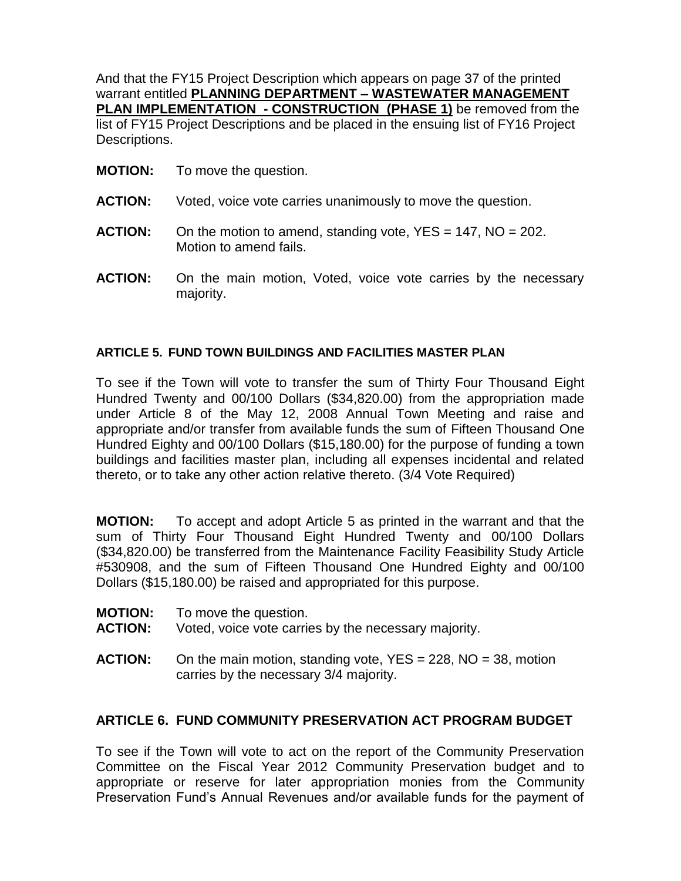And that the FY15 Project Description which appears on page 37 of the printed warrant entitled **PLANNING DEPARTMENT – WASTEWATER MANAGEMENT PLAN IMPLEMENTATION - CONSTRUCTION (PHASE 1)** be removed from the list of FY15 Project Descriptions and be placed in the ensuing list of FY16 Project Descriptions.

- **MOTION:** To move the question.
- **ACTION:** Voted, voice vote carries unanimously to move the question.
- **ACTION:** On the motion to amend, standing vote, YES = 147, NO = 202. Motion to amend fails.
- **ACTION:** On the main motion, Voted, voice vote carries by the necessary majority.

#### **ARTICLE 5. FUND TOWN BUILDINGS AND FACILITIES MASTER PLAN**

To see if the Town will vote to transfer the sum of Thirty Four Thousand Eight Hundred Twenty and 00/100 Dollars (\$34,820.00) from the appropriation made under Article 8 of the May 12, 2008 Annual Town Meeting and raise and appropriate and/or transfer from available funds the sum of Fifteen Thousand One Hundred Eighty and 00/100 Dollars (\$15,180.00) for the purpose of funding a town buildings and facilities master plan, including all expenses incidental and related thereto, or to take any other action relative thereto. (3/4 Vote Required)

**MOTION:** To accept and adopt Article 5 as printed in the warrant and that the sum of Thirty Four Thousand Eight Hundred Twenty and 00/100 Dollars (\$34,820.00) be transferred from the Maintenance Facility Feasibility Study Article #530908, and the sum of Fifteen Thousand One Hundred Eighty and 00/100 Dollars (\$15,180.00) be raised and appropriated for this purpose.

- **MOTION:** To move the question.
- **ACTION:** Voted, voice vote carries by the necessary majority.
- **ACTION:** On the main motion, standing vote, YES = 228, NO = 38, motion carries by the necessary 3/4 majority.

#### **ARTICLE 6. FUND COMMUNITY PRESERVATION ACT PROGRAM BUDGET**

To see if the Town will vote to act on the report of the Community Preservation Committee on the Fiscal Year 2012 Community Preservation budget and to appropriate or reserve for later appropriation monies from the Community Preservation Fund's Annual Revenues and/or available funds for the payment of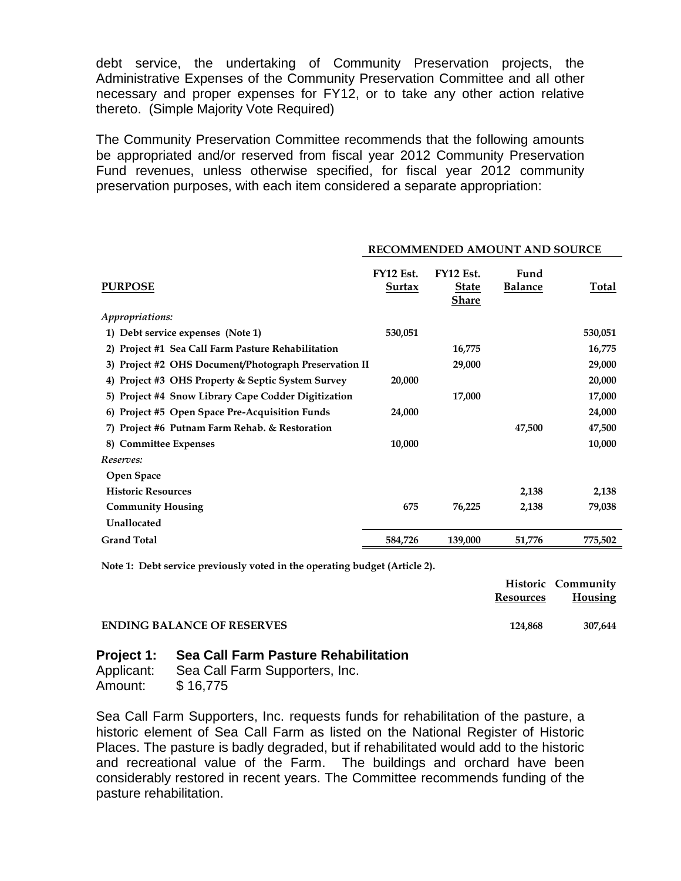debt service, the undertaking of Community Preservation projects, the Administrative Expenses of the Community Preservation Committee and all other necessary and proper expenses for FY12, or to take any other action relative thereto. (Simple Majority Vote Required)

The Community Preservation Committee recommends that the following amounts be appropriated and/or reserved from fiscal year 2012 Community Preservation Fund revenues, unless otherwise specified, for fiscal year 2012 community preservation purposes, with each item considered a separate appropriation:

| <b>PURPOSE</b>                                        | FY12 Est.<br><b>Surtax</b> | FY12 Est.<br><b>State</b><br><b>Share</b> | Fund<br><b>Balance</b> | Total   |
|-------------------------------------------------------|----------------------------|-------------------------------------------|------------------------|---------|
| Appropriations:                                       |                            |                                           |                        |         |
| 1) Debt service expenses (Note 1)                     | 530,051                    |                                           |                        | 530,051 |
| 2) Project #1 Sea Call Farm Pasture Rehabilitation    |                            | 16,775                                    |                        | 16,775  |
| 3) Project #2 OHS Document/Photograph Preservation II |                            | 29,000                                    |                        | 29,000  |
| 4) Project #3 OHS Property & Septic System Survey     | 20,000                     |                                           |                        | 20,000  |
| 5) Project #4 Snow Library Cape Codder Digitization   |                            | 17,000                                    |                        | 17,000  |
| 6) Project #5 Open Space Pre-Acquisition Funds        | 24,000                     |                                           |                        | 24,000  |
| 7) Project #6 Putnam Farm Rehab. & Restoration        |                            |                                           | 47,500                 | 47,500  |
| 8) Committee Expenses                                 | 10,000                     |                                           |                        | 10,000  |
| Reserves:                                             |                            |                                           |                        |         |
| <b>Open Space</b>                                     |                            |                                           |                        |         |
| <b>Historic Resources</b>                             |                            |                                           | 2,138                  | 2,138   |
| <b>Community Housing</b>                              | 675                        | 76,225                                    | 2,138                  | 79,038  |
| Unallocated                                           |                            |                                           |                        |         |
| <b>Grand Total</b>                                    | 584.726                    | 139,000                                   | 51,776                 | 775,502 |

#### **RECOMMENDED AMOUNT AND SOURCE**

**Note 1: Debt service previously voted in the operating budget (Article 2).**

|                                   | Resources | <b>Historic Community</b><br><b>Housing</b> |
|-----------------------------------|-----------|---------------------------------------------|
| <b>ENDING BALANCE OF RESERVES</b> | 124.868   | 307.644                                     |

#### **Project 1: Sea Call Farm Pasture Rehabilitation**

| Applicant: | Sea Call Farm Supporters, Inc. |
|------------|--------------------------------|
| Amount:    | \$16,775                       |

Sea Call Farm Supporters, Inc. requests funds for rehabilitation of the pasture, a historic element of Sea Call Farm as listed on the National Register of Historic Places. The pasture is badly degraded, but if rehabilitated would add to the historic and recreational value of the Farm. The buildings and orchard have been considerably restored in recent years. The Committee recommends funding of the pasture rehabilitation.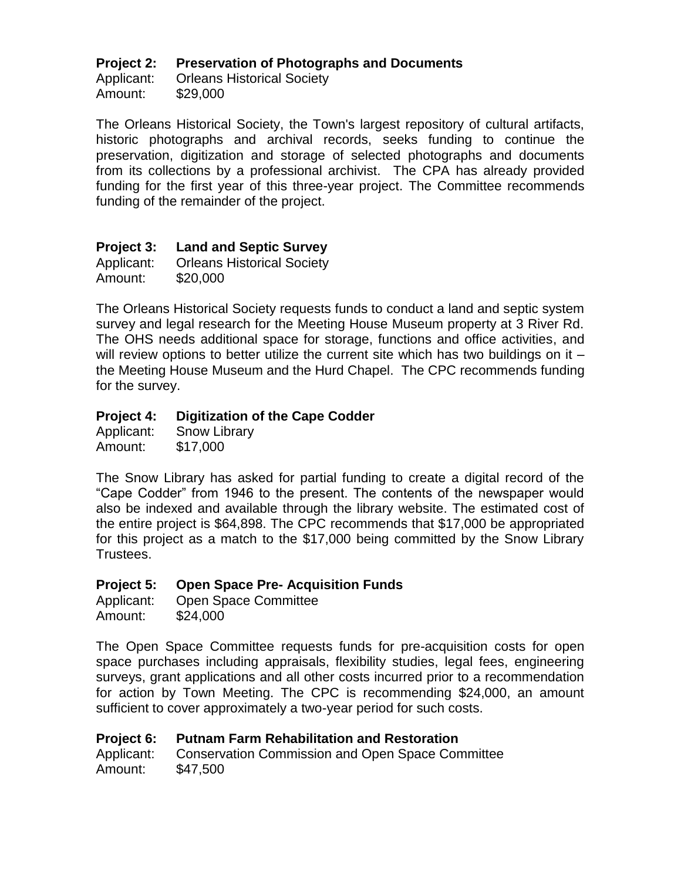### **Project 2: Preservation of Photographs and Documents**

Applicant: Orleans Historical Society Amount: \$29,000

The Orleans Historical Society, the Town's largest repository of cultural artifacts, historic photographs and archival records, seeks funding to continue the preservation, digitization and storage of selected photographs and documents from its collections by a professional archivist. The CPA has already provided funding for the first year of this three-year project. The Committee recommends funding of the remainder of the project.

## **Project 3: Land and Septic Survey**

Applicant: Orleans Historical Society Amount: \$20,000

The Orleans Historical Society requests funds to conduct a land and septic system survey and legal research for the Meeting House Museum property at 3 River Rd. The OHS needs additional space for storage, functions and office activities, and will review options to better utilize the current site which has two buildings on it – the Meeting House Museum and the Hurd Chapel. The CPC recommends funding for the survey.

## **Project 4: Digitization of the Cape Codder**

Applicant: Snow Library Amount: \$17,000

The Snow Library has asked for partial funding to create a digital record of the "Cape Codder" from 1946 to the present. The contents of the newspaper would also be indexed and available through the library website. The estimated cost of the entire project is \$64,898. The CPC recommends that \$17,000 be appropriated for this project as a match to the \$17,000 being committed by the Snow Library Trustees.

### **Project 5: Open Space Pre- Acquisition Funds**

| Applicant: | <b>Open Space Committee</b> |
|------------|-----------------------------|
| Amount:    | \$24,000                    |

The Open Space Committee requests funds for pre-acquisition costs for open space purchases including appraisals, flexibility studies, legal fees, engineering surveys, grant applications and all other costs incurred prior to a recommendation for action by Town Meeting. The CPC is recommending \$24,000, an amount sufficient to cover approximately a two-year period for such costs.

### **Project 6: Putnam Farm Rehabilitation and Restoration**

Applicant: Conservation Commission and Open Space Committee Amount: \$47,500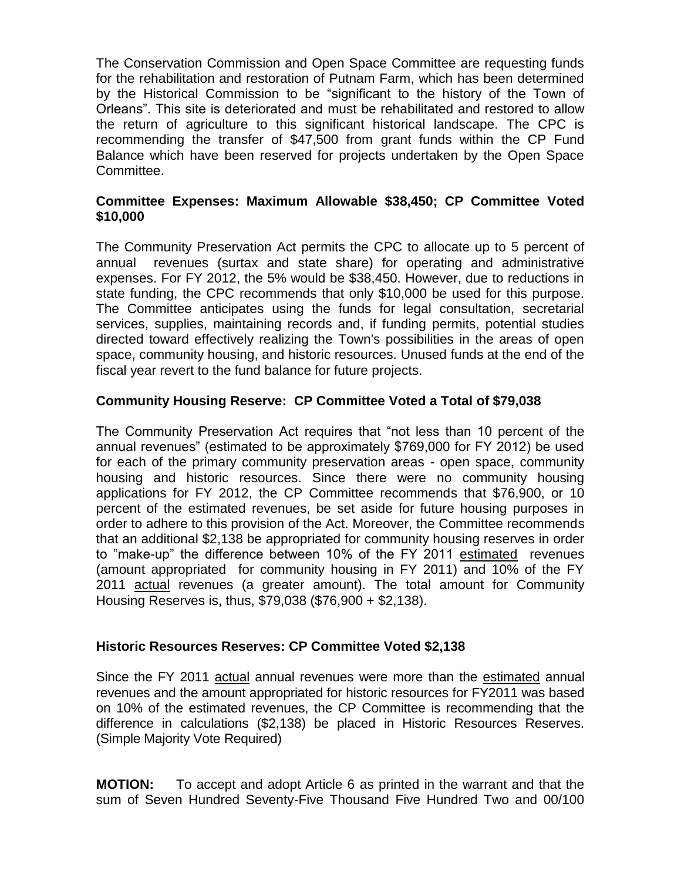The Conservation Commission and Open Space Committee are requesting funds for the rehabilitation and restoration of Putnam Farm, which has been determined by the Historical Commission to be "significant to the history of the Town of Orleans". This site is deteriorated and must be rehabilitated and restored to allow the return of agriculture to this significant historical landscape. The CPC is recommending the transfer of \$47,500 from grant funds within the CP Fund Balance which have been reserved for projects undertaken by the Open Space Committee.

### **Committee Expenses: Maximum Allowable \$38,450; CP Committee Voted \$10,000**

The Community Preservation Act permits the CPC to allocate up to 5 percent of annual revenues (surtax and state share) for operating and administrative expenses. For FY 2012, the 5% would be \$38,450. However, due to reductions in state funding, the CPC recommends that only \$10,000 be used for this purpose. The Committee anticipates using the funds for legal consultation, secretarial services, supplies, maintaining records and, if funding permits, potential studies directed toward effectively realizing the Town's possibilities in the areas of open space, community housing, and historic resources. Unused funds at the end of the fiscal year revert to the fund balance for future projects.

## **Community Housing Reserve: CP Committee Voted a Total of \$79,038**

The Community Preservation Act requires that "not less than 10 percent of the annual revenues" (estimated to be approximately \$769,000 for FY 2012) be used for each of the primary community preservation areas - open space, community housing and historic resources. Since there were no community housing applications for FY 2012, the CP Committee recommends that \$76,900, or 10 percent of the estimated revenues, be set aside for future housing purposes in order to adhere to this provision of the Act. Moreover, the Committee recommends that an additional \$2,138 be appropriated for community housing reserves in order to "make-up" the difference between 10% of the FY 2011 estimated revenues (amount appropriated for community housing in FY 2011) and 10% of the FY 2011 actual revenues (a greater amount). The total amount for Community Housing Reserves is, thus, \$79,038 (\$76,900 + \$2,138).

### **Historic Resources Reserves: CP Committee Voted \$2,138**

Since the FY 2011 actual annual revenues were more than the estimated annual revenues and the amount appropriated for historic resources for FY2011 was based on 10% of the estimated revenues, the CP Committee is recommending that the difference in calculations (\$2,138) be placed in Historic Resources Reserves. (Simple Majority Vote Required)

**MOTION:** To accept and adopt Article 6 as printed in the warrant and that the sum of Seven Hundred Seventy-Five Thousand Five Hundred Two and 00/100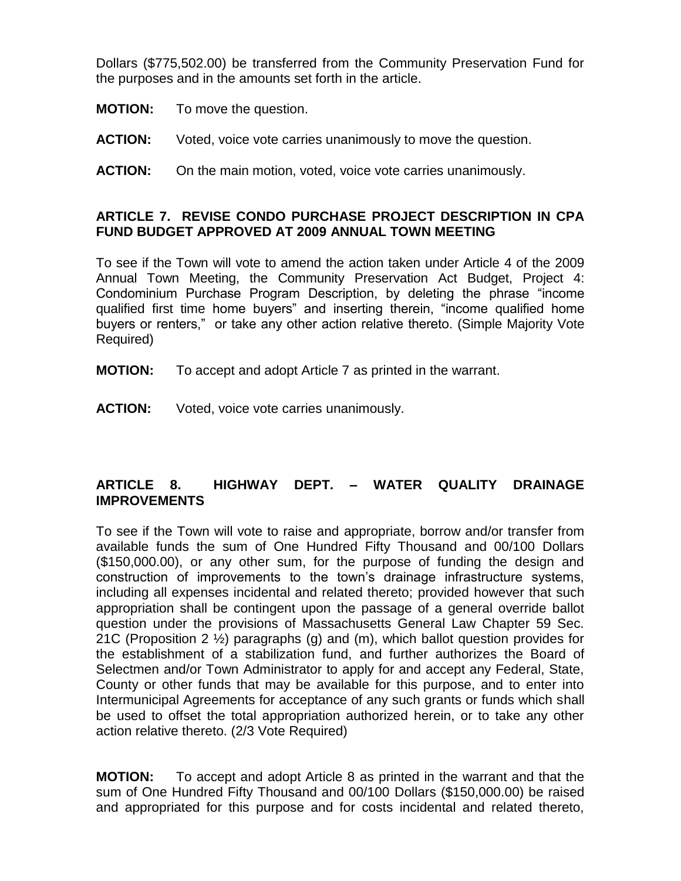Dollars (\$775,502.00) be transferred from the Community Preservation Fund for the purposes and in the amounts set forth in the article.

- **MOTION:** To move the question.
- **ACTION:** Voted, voice vote carries unanimously to move the question.
- **ACTION:** On the main motion, voted, voice vote carries unanimously.

### **ARTICLE 7. REVISE CONDO PURCHASE PROJECT DESCRIPTION IN CPA FUND BUDGET APPROVED AT 2009 ANNUAL TOWN MEETING**

To see if the Town will vote to amend the action taken under Article 4 of the 2009 Annual Town Meeting, the Community Preservation Act Budget, Project 4: Condominium Purchase Program Description, by deleting the phrase "income qualified first time home buyers" and inserting therein, "income qualified home buyers or renters," or take any other action relative thereto. (Simple Majority Vote Required)

**MOTION:** To accept and adopt Article 7 as printed in the warrant.

**ACTION:** Voted, voice vote carries unanimously.

## **ARTICLE 8. HIGHWAY DEPT. – WATER QUALITY DRAINAGE IMPROVEMENTS**

To see if the Town will vote to raise and appropriate, borrow and/or transfer from available funds the sum of One Hundred Fifty Thousand and 00/100 Dollars (\$150,000.00), or any other sum, for the purpose of funding the design and construction of improvements to the town's drainage infrastructure systems, including all expenses incidental and related thereto; provided however that such appropriation shall be contingent upon the passage of a general override ballot question under the provisions of Massachusetts General Law Chapter 59 Sec. 21C (Proposition 2 ½) paragraphs (g) and (m), which ballot question provides for the establishment of a stabilization fund, and further authorizes the Board of Selectmen and/or Town Administrator to apply for and accept any Federal, State, County or other funds that may be available for this purpose, and to enter into Intermunicipal Agreements for acceptance of any such grants or funds which shall be used to offset the total appropriation authorized herein, or to take any other action relative thereto. (2/3 Vote Required)

**MOTION:** To accept and adopt Article 8 as printed in the warrant and that the sum of One Hundred Fifty Thousand and 00/100 Dollars (\$150,000.00) be raised and appropriated for this purpose and for costs incidental and related thereto,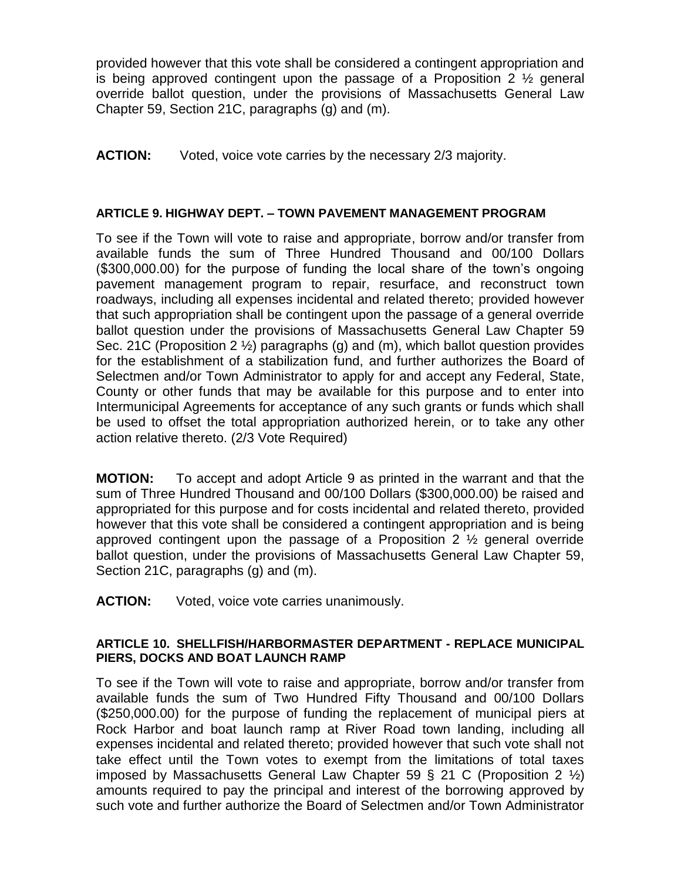provided however that this vote shall be considered a contingent appropriation and is being approved contingent upon the passage of a Proposition 2  $\frac{1}{2}$  general override ballot question, under the provisions of Massachusetts General Law Chapter 59, Section 21C, paragraphs (g) and (m).

**ACTION:** Voted, voice vote carries by the necessary 2/3 majority.

### **ARTICLE 9. HIGHWAY DEPT. – TOWN PAVEMENT MANAGEMENT PROGRAM**

To see if the Town will vote to raise and appropriate, borrow and/or transfer from available funds the sum of Three Hundred Thousand and 00/100 Dollars (\$300,000.00) for the purpose of funding the local share of the town's ongoing pavement management program to repair, resurface, and reconstruct town roadways, including all expenses incidental and related thereto; provided however that such appropriation shall be contingent upon the passage of a general override ballot question under the provisions of Massachusetts General Law Chapter 59 Sec. 21C (Proposition 2 ½) paragraphs (g) and (m), which ballot question provides for the establishment of a stabilization fund, and further authorizes the Board of Selectmen and/or Town Administrator to apply for and accept any Federal, State, County or other funds that may be available for this purpose and to enter into Intermunicipal Agreements for acceptance of any such grants or funds which shall be used to offset the total appropriation authorized herein, or to take any other action relative thereto. (2/3 Vote Required)

**MOTION:** To accept and adopt Article 9 as printed in the warrant and that the sum of Three Hundred Thousand and 00/100 Dollars (\$300,000.00) be raised and appropriated for this purpose and for costs incidental and related thereto, provided however that this vote shall be considered a contingent appropriation and is being approved contingent upon the passage of a Proposition 2 ½ general override ballot question, under the provisions of Massachusetts General Law Chapter 59, Section 21C, paragraphs (g) and (m).

**ACTION:** Voted, voice vote carries unanimously.

#### **ARTICLE 10. SHELLFISH/HARBORMASTER DEPARTMENT - REPLACE MUNICIPAL PIERS, DOCKS AND BOAT LAUNCH RAMP**

To see if the Town will vote to raise and appropriate, borrow and/or transfer from available funds the sum of Two Hundred Fifty Thousand and 00/100 Dollars (\$250,000.00) for the purpose of funding the replacement of municipal piers at Rock Harbor and boat launch ramp at River Road town landing, including all expenses incidental and related thereto; provided however that such vote shall not take effect until the Town votes to exempt from the limitations of total taxes imposed by Massachusetts General Law Chapter 59 § 21 C (Proposition 2 ½) amounts required to pay the principal and interest of the borrowing approved by such vote and further authorize the Board of Selectmen and/or Town Administrator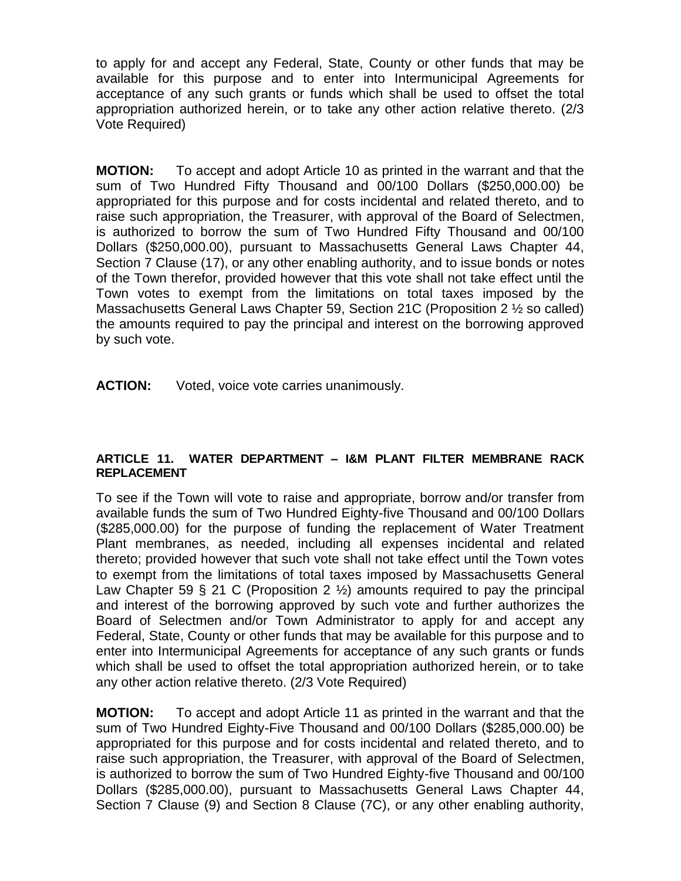to apply for and accept any Federal, State, County or other funds that may be available for this purpose and to enter into Intermunicipal Agreements for acceptance of any such grants or funds which shall be used to offset the total appropriation authorized herein, or to take any other action relative thereto. (2/3 Vote Required)

**MOTION:** To accept and adopt Article 10 as printed in the warrant and that the sum of Two Hundred Fifty Thousand and 00/100 Dollars (\$250,000.00) be appropriated for this purpose and for costs incidental and related thereto, and to raise such appropriation, the Treasurer, with approval of the Board of Selectmen, is authorized to borrow the sum of Two Hundred Fifty Thousand and 00/100 Dollars (\$250,000.00), pursuant to Massachusetts General Laws Chapter 44, Section 7 Clause (17), or any other enabling authority, and to issue bonds or notes of the Town therefor, provided however that this vote shall not take effect until the Town votes to exempt from the limitations on total taxes imposed by the Massachusetts General Laws Chapter 59, Section 21C (Proposition 2 ½ so called) the amounts required to pay the principal and interest on the borrowing approved by such vote.

**ACTION:** Voted, voice vote carries unanimously.

#### **ARTICLE 11. WATER DEPARTMENT – I&M PLANT FILTER MEMBRANE RACK REPLACEMENT**

To see if the Town will vote to raise and appropriate, borrow and/or transfer from available funds the sum of Two Hundred Eighty-five Thousand and 00/100 Dollars (\$285,000.00) for the purpose of funding the replacement of Water Treatment Plant membranes, as needed, including all expenses incidental and related thereto; provided however that such vote shall not take effect until the Town votes to exempt from the limitations of total taxes imposed by Massachusetts General Law Chapter 59 § 21 C (Proposition 2  $\frac{1}{2}$ ) amounts required to pay the principal and interest of the borrowing approved by such vote and further authorizes the Board of Selectmen and/or Town Administrator to apply for and accept any Federal, State, County or other funds that may be available for this purpose and to enter into Intermunicipal Agreements for acceptance of any such grants or funds which shall be used to offset the total appropriation authorized herein, or to take any other action relative thereto. (2/3 Vote Required)

**MOTION:** To accept and adopt Article 11 as printed in the warrant and that the sum of Two Hundred Eighty-Five Thousand and 00/100 Dollars (\$285,000.00) be appropriated for this purpose and for costs incidental and related thereto, and to raise such appropriation, the Treasurer, with approval of the Board of Selectmen, is authorized to borrow the sum of Two Hundred Eighty-five Thousand and 00/100 Dollars (\$285,000.00), pursuant to Massachusetts General Laws Chapter 44, Section 7 Clause (9) and Section 8 Clause (7C), or any other enabling authority,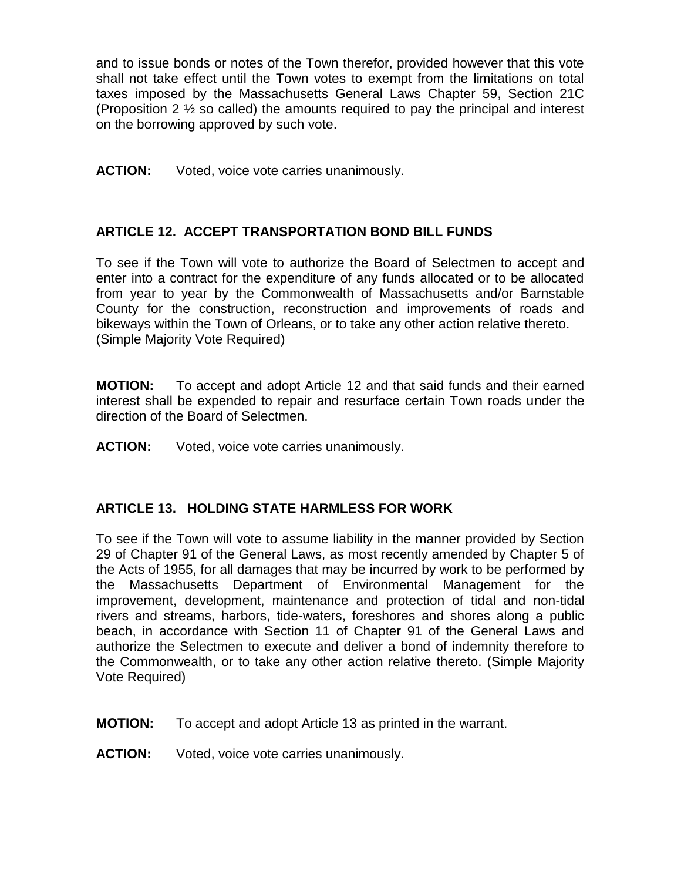and to issue bonds or notes of the Town therefor, provided however that this vote shall not take effect until the Town votes to exempt from the limitations on total taxes imposed by the Massachusetts General Laws Chapter 59, Section 21C (Proposition 2 ½ so called) the amounts required to pay the principal and interest on the borrowing approved by such vote.

**ACTION:** Voted, voice vote carries unanimously.

## **ARTICLE 12. ACCEPT TRANSPORTATION BOND BILL FUNDS**

To see if the Town will vote to authorize the Board of Selectmen to accept and enter into a contract for the expenditure of any funds allocated or to be allocated from year to year by the Commonwealth of Massachusetts and/or Barnstable County for the construction, reconstruction and improvements of roads and bikeways within the Town of Orleans, or to take any other action relative thereto. (Simple Majority Vote Required)

**MOTION:** To accept and adopt Article 12 and that said funds and their earned interest shall be expended to repair and resurface certain Town roads under the direction of the Board of Selectmen.

**ACTION:** Voted, voice vote carries unanimously.

### **ARTICLE 13. HOLDING STATE HARMLESS FOR WORK**

To see if the Town will vote to assume liability in the manner provided by Section 29 of Chapter 91 of the General Laws, as most recently amended by Chapter 5 of the Acts of 1955, for all damages that may be incurred by work to be performed by the Massachusetts Department of Environmental Management for the improvement, development, maintenance and protection of tidal and non-tidal rivers and streams, harbors, tide-waters, foreshores and shores along a public beach, in accordance with Section 11 of Chapter 91 of the General Laws and authorize the Selectmen to execute and deliver a bond of indemnity therefore to the Commonwealth, or to take any other action relative thereto. (Simple Majority Vote Required)

**MOTION:** To accept and adopt Article 13 as printed in the warrant.

**ACTION:** Voted, voice vote carries unanimously.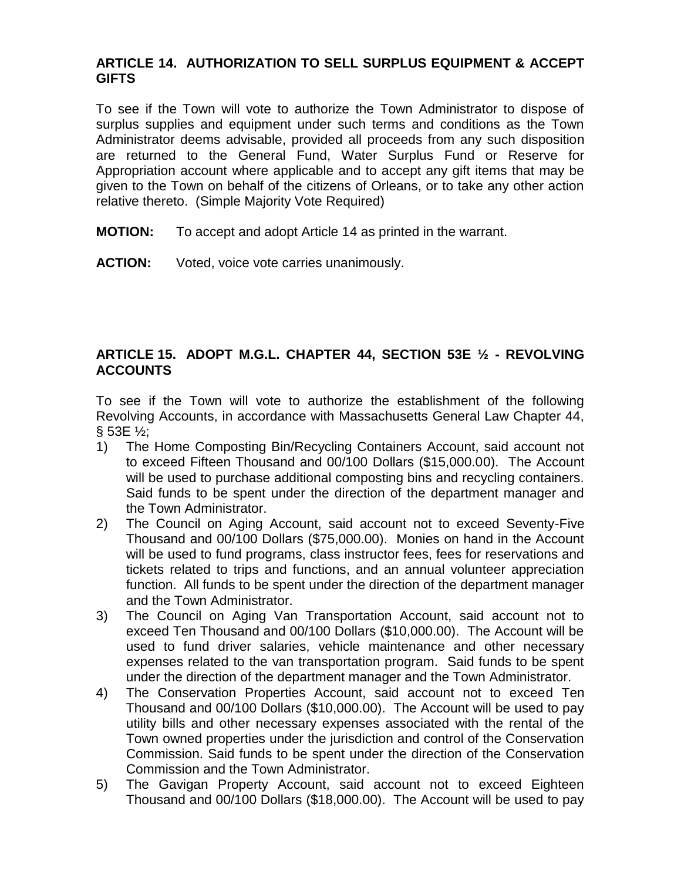## **ARTICLE 14. AUTHORIZATION TO SELL SURPLUS EQUIPMENT & ACCEPT GIFTS**

To see if the Town will vote to authorize the Town Administrator to dispose of surplus supplies and equipment under such terms and conditions as the Town Administrator deems advisable, provided all proceeds from any such disposition are returned to the General Fund, Water Surplus Fund or Reserve for Appropriation account where applicable and to accept any gift items that may be given to the Town on behalf of the citizens of Orleans, or to take any other action relative thereto. (Simple Majority Vote Required)

- **MOTION:** To accept and adopt Article 14 as printed in the warrant.
- **ACTION:** Voted, voice vote carries unanimously.

## **ARTICLE 15. ADOPT M.G.L. CHAPTER 44, SECTION 53E ½ - REVOLVING ACCOUNTS**

To see if the Town will vote to authorize the establishment of the following Revolving Accounts, in accordance with Massachusetts General Law Chapter 44, § 53E ½;

- 1) The Home Composting Bin/Recycling Containers Account, said account not to exceed Fifteen Thousand and 00/100 Dollars (\$15,000.00). The Account will be used to purchase additional composting bins and recycling containers. Said funds to be spent under the direction of the department manager and the Town Administrator.
- 2) The Council on Aging Account, said account not to exceed Seventy-Five Thousand and 00/100 Dollars (\$75,000.00). Monies on hand in the Account will be used to fund programs, class instructor fees, fees for reservations and tickets related to trips and functions, and an annual volunteer appreciation function. All funds to be spent under the direction of the department manager and the Town Administrator.
- 3) The Council on Aging Van Transportation Account, said account not to exceed Ten Thousand and 00/100 Dollars (\$10,000.00). The Account will be used to fund driver salaries, vehicle maintenance and other necessary expenses related to the van transportation program. Said funds to be spent under the direction of the department manager and the Town Administrator.
- 4) The Conservation Properties Account, said account not to exceed Ten Thousand and 00/100 Dollars (\$10,000.00). The Account will be used to pay utility bills and other necessary expenses associated with the rental of the Town owned properties under the jurisdiction and control of the Conservation Commission. Said funds to be spent under the direction of the Conservation Commission and the Town Administrator.
- 5) The Gavigan Property Account, said account not to exceed Eighteen Thousand and 00/100 Dollars (\$18,000.00). The Account will be used to pay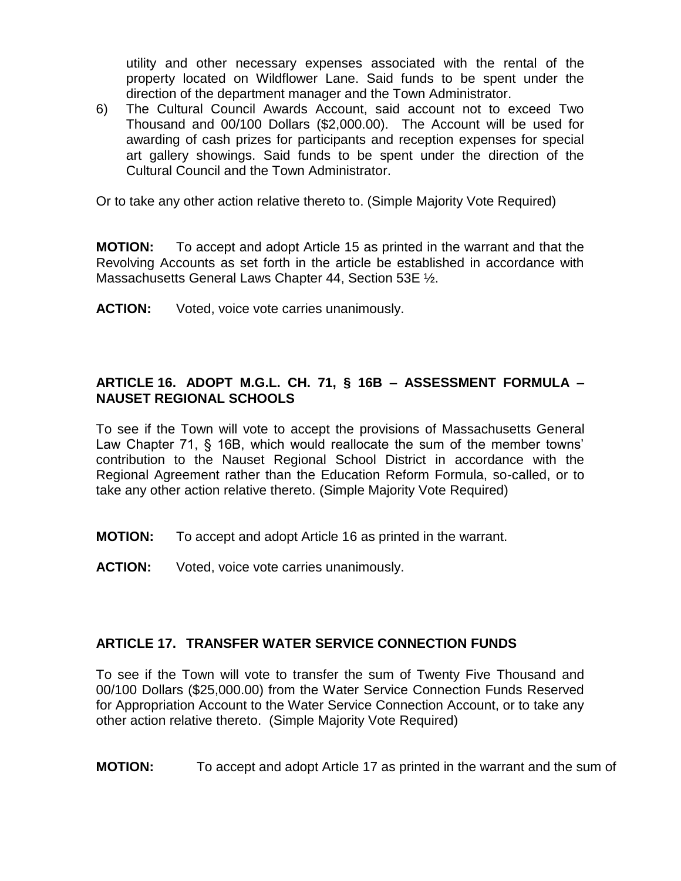utility and other necessary expenses associated with the rental of the property located on Wildflower Lane. Said funds to be spent under the direction of the department manager and the Town Administrator.

6) The Cultural Council Awards Account, said account not to exceed Two Thousand and 00/100 Dollars (\$2,000.00). The Account will be used for awarding of cash prizes for participants and reception expenses for special art gallery showings. Said funds to be spent under the direction of the Cultural Council and the Town Administrator.

Or to take any other action relative thereto to. (Simple Majority Vote Required)

**MOTION:** To accept and adopt Article 15 as printed in the warrant and that the Revolving Accounts as set forth in the article be established in accordance with Massachusetts General Laws Chapter 44, Section 53E ½.

**ACTION:** Voted, voice vote carries unanimously.

## **ARTICLE 16. ADOPT M.G.L. CH. 71, § 16B – ASSESSMENT FORMULA – NAUSET REGIONAL SCHOOLS**

To see if the Town will vote to accept the provisions of Massachusetts General Law Chapter 71, § 16B, which would reallocate the sum of the member towns' contribution to the Nauset Regional School District in accordance with the Regional Agreement rather than the Education Reform Formula, so-called, or to take any other action relative thereto. (Simple Majority Vote Required)

**MOTION:** To accept and adopt Article 16 as printed in the warrant.

**ACTION:** Voted, voice vote carries unanimously.

## **ARTICLE 17. TRANSFER WATER SERVICE CONNECTION FUNDS**

To see if the Town will vote to transfer the sum of Twenty Five Thousand and 00/100 Dollars (\$25,000.00) from the Water Service Connection Funds Reserved for Appropriation Account to the Water Service Connection Account, or to take any other action relative thereto. (Simple Majority Vote Required)

**MOTION:** To accept and adopt Article 17 as printed in the warrant and the sum of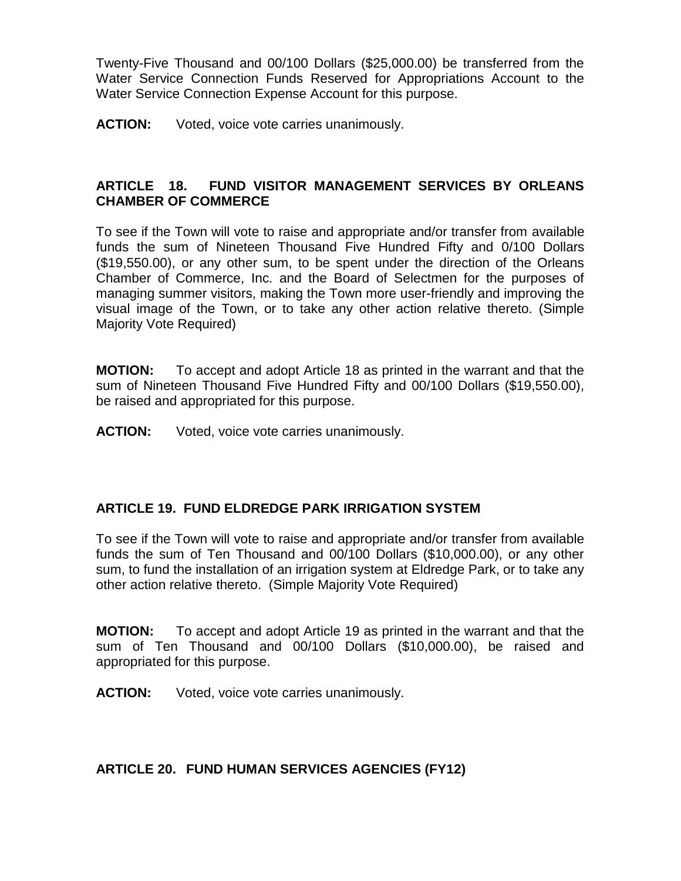Twenty-Five Thousand and 00/100 Dollars (\$25,000.00) be transferred from the Water Service Connection Funds Reserved for Appropriations Account to the Water Service Connection Expense Account for this purpose.

**ACTION:** Voted, voice vote carries unanimously.

## **ARTICLE 18. FUND VISITOR MANAGEMENT SERVICES BY ORLEANS CHAMBER OF COMMERCE**

To see if the Town will vote to raise and appropriate and/or transfer from available funds the sum of Nineteen Thousand Five Hundred Fifty and 0/100 Dollars (\$19,550.00), or any other sum, to be spent under the direction of the Orleans Chamber of Commerce, Inc. and the Board of Selectmen for the purposes of managing summer visitors, making the Town more user-friendly and improving the visual image of the Town, or to take any other action relative thereto. (Simple Majority Vote Required)

**MOTION:** To accept and adopt Article 18 as printed in the warrant and that the sum of Nineteen Thousand Five Hundred Fifty and 00/100 Dollars (\$19,550.00), be raised and appropriated for this purpose.

**ACTION:** Voted, voice vote carries unanimously.

### **ARTICLE 19. FUND ELDREDGE PARK IRRIGATION SYSTEM**

To see if the Town will vote to raise and appropriate and/or transfer from available funds the sum of Ten Thousand and 00/100 Dollars (\$10,000.00), or any other sum, to fund the installation of an irrigation system at Eldredge Park, or to take any other action relative thereto. (Simple Majority Vote Required)

**MOTION:** To accept and adopt Article 19 as printed in the warrant and that the sum of Ten Thousand and 00/100 Dollars (\$10,000.00), be raised and appropriated for this purpose.

**ACTION:** Voted, voice vote carries unanimously.

### **ARTICLE 20. FUND HUMAN SERVICES AGENCIES (FY12)**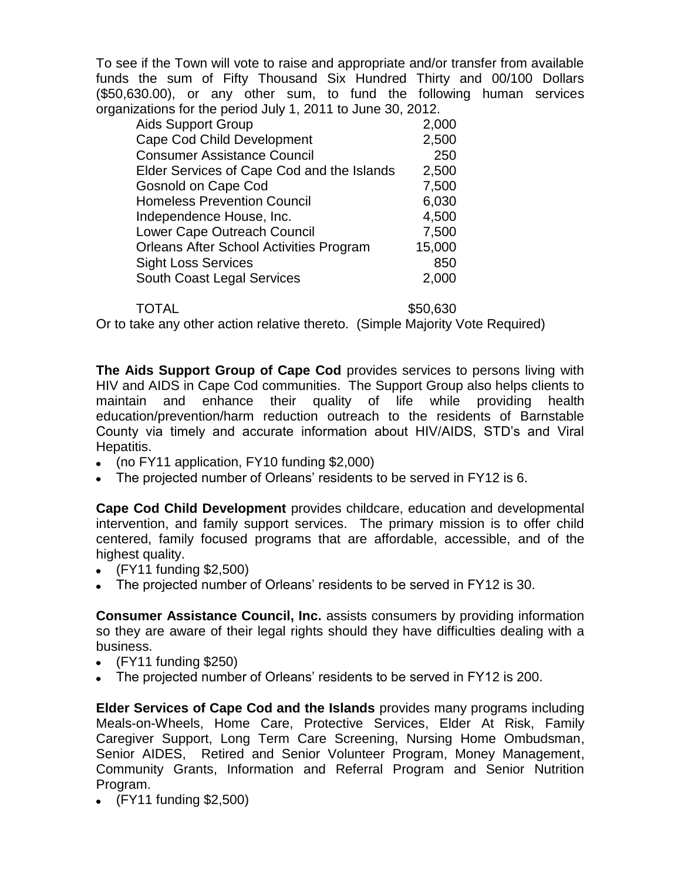To see if the Town will vote to raise and appropriate and/or transfer from available funds the sum of Fifty Thousand Six Hundred Thirty and 00/100 Dollars (\$50,630.00), or any other sum, to fund the following human services organizations for the period July 1, 2011 to June 30, 2012.

| <b>Aids Support Group</b>                      | 2,000  |
|------------------------------------------------|--------|
| <b>Cape Cod Child Development</b>              | 2,500  |
| <b>Consumer Assistance Council</b>             | 250    |
| Elder Services of Cape Cod and the Islands     | 2,500  |
| <b>Gosnold on Cape Cod</b>                     | 7,500  |
| <b>Homeless Prevention Council</b>             | 6,030  |
| Independence House, Inc.                       | 4,500  |
| Lower Cape Outreach Council                    | 7,500  |
| <b>Orleans After School Activities Program</b> | 15,000 |
| <b>Sight Loss Services</b>                     | 850    |
| South Coast Legal Services                     | 2,000  |

TOTAL \$50,630

Or to take any other action relative thereto. (Simple Majority Vote Required)

**The Aids Support Group of Cape Cod** provides services to persons living with HIV and AIDS in Cape Cod communities. The Support Group also helps clients to maintain and enhance their quality of life while providing health education/prevention/harm reduction outreach to the residents of Barnstable County via timely and accurate information about HIV/AIDS, STD's and Viral Hepatitis.

- (no FY11 application, FY10 funding \$2,000)  $\bullet$
- The projected number of Orleans' residents to be served in FY12 is 6.

**Cape Cod Child Development** provides childcare, education and developmental intervention, and family support services. The primary mission is to offer child centered, family focused programs that are affordable, accessible, and of the highest quality.

- (FY11 funding \$2,500)
- The projected number of Orleans' residents to be served in FY12 is 30.

**Consumer Assistance Council, Inc.** assists consumers by providing information so they are aware of their legal rights should they have difficulties dealing with a business.

- (FY11 funding \$250)
- The projected number of Orleans' residents to be served in FY12 is 200.

**Elder Services of Cape Cod and the Islands** provides many programs including Meals-on-Wheels, Home Care, Protective Services, Elder At Risk, Family Caregiver Support, Long Term Care Screening, Nursing Home Ombudsman, Senior AIDES, Retired and Senior Volunteer Program, Money Management, Community Grants, Information and Referral Program and Senior Nutrition Program.

(FY11 funding \$2,500)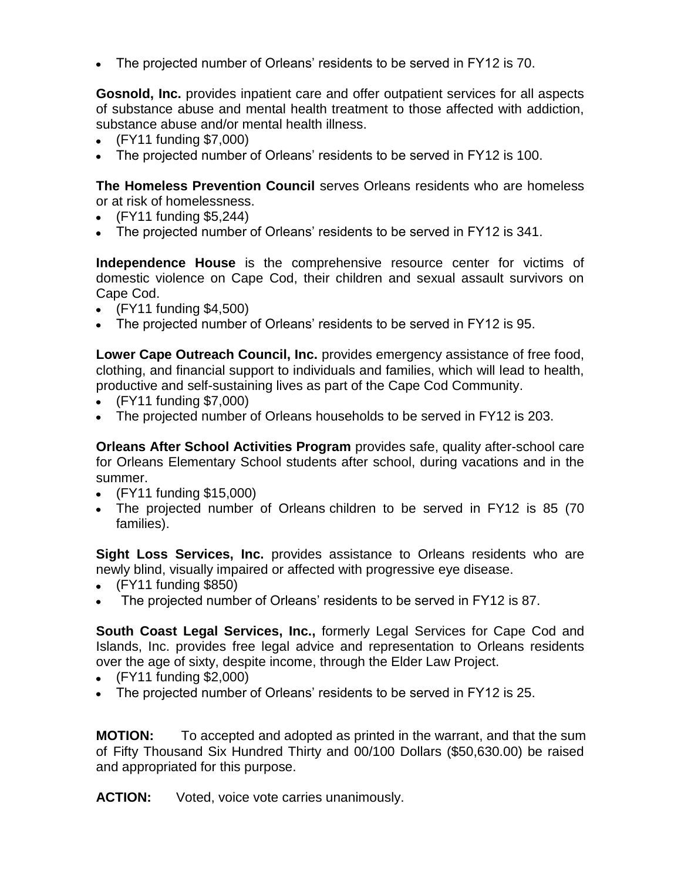The projected number of Orleans' residents to be served in FY12 is 70.  $\bullet$ 

**Gosnold, Inc.** provides inpatient care and offer outpatient services for all aspects of substance abuse and mental health treatment to those affected with addiction, substance abuse and/or mental health illness.

- (FY11 funding \$7,000)
- The projected number of Orleans' residents to be served in FY12 is 100.

**The Homeless Prevention Council** serves Orleans residents who are homeless or at risk of homelessness.

- $\bullet$  (FY11 funding \$5,244)
- The projected number of Orleans' residents to be served in FY12 is 341.

**Independence House** is the comprehensive resource center for victims of domestic violence on Cape Cod, their children and sexual assault survivors on Cape Cod.

- (FY11 funding \$4,500)
- The projected number of Orleans' residents to be served in FY12 is 95.

**Lower Cape Outreach Council, Inc.** provides emergency assistance of free food, clothing, and financial support to individuals and families, which will lead to health, productive and self-sustaining lives as part of the Cape Cod Community.

- (FY11 funding \$7,000)
- The projected number of Orleans households to be served in FY12 is 203.

**Orleans After School Activities Program** provides safe, quality after-school care for Orleans Elementary School students after school, during vacations and in the summer.

- (FY11 funding \$15,000)
- The projected number of Orleans children to be served in FY12 is 85 (70) families).

**Sight Loss Services, Inc.** provides assistance to Orleans residents who are newly blind, visually impaired or affected with progressive eye disease.

- (FY11 funding \$850)
- The projected number of Orleans' residents to be served in FY12 is 87.

**South Coast Legal Services, Inc.,** formerly Legal Services for Cape Cod and Islands, Inc. provides free legal advice and representation to Orleans residents over the age of sixty, despite income, through the Elder Law Project.

- (FY11 funding \$2,000)
- The projected number of Orleans' residents to be served in FY12 is 25.

**MOTION:** To accepted and adopted as printed in the warrant, and that the sum of Fifty Thousand Six Hundred Thirty and 00/100 Dollars (\$50,630.00) be raised and appropriated for this purpose.

**ACTION:** Voted, voice vote carries unanimously.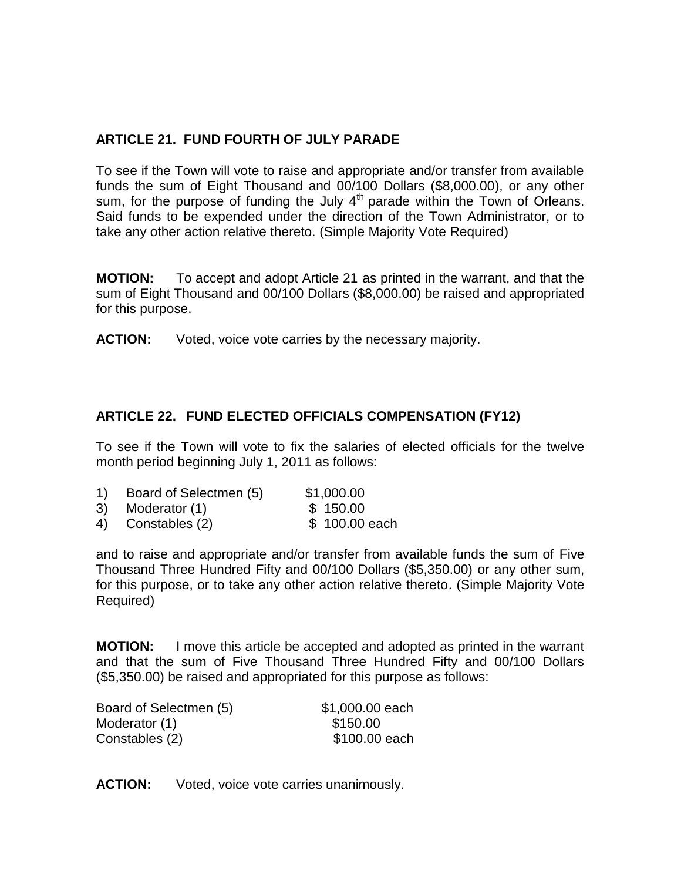## **ARTICLE 21. FUND FOURTH OF JULY PARADE**

To see if the Town will vote to raise and appropriate and/or transfer from available funds the sum of Eight Thousand and 00/100 Dollars (\$8,000.00), or any other sum, for the purpose of funding the July 4<sup>th</sup> parade within the Town of Orleans. Said funds to be expended under the direction of the Town Administrator, or to take any other action relative thereto. (Simple Majority Vote Required)

**MOTION:** To accept and adopt Article 21 as printed in the warrant, and that the sum of Eight Thousand and 00/100 Dollars (\$8,000.00) be raised and appropriated for this purpose.

**ACTION:** Voted, voice vote carries by the necessary majority.

## **ARTICLE 22. FUND ELECTED OFFICIALS COMPENSATION (FY12)**

To see if the Town will vote to fix the salaries of elected officials for the twelve month period beginning July 1, 2011 as follows:

| $\left( \begin{matrix} 1 \end{matrix} \right)$ | Board of Selectmen (5) | \$1,000.00    |
|------------------------------------------------|------------------------|---------------|
|                                                | 3) Moderator (1)       | \$150.00      |
|                                                | 4) Constables (2)      | \$100.00 each |

and to raise and appropriate and/or transfer from available funds the sum of Five Thousand Three Hundred Fifty and 00/100 Dollars (\$5,350.00) or any other sum, for this purpose, or to take any other action relative thereto. (Simple Majority Vote Required)

**MOTION:** I move this article be accepted and adopted as printed in the warrant and that the sum of Five Thousand Three Hundred Fifty and 00/100 Dollars (\$5,350.00) be raised and appropriated for this purpose as follows:

| Board of Selectmen (5) | \$1,000.00 each |
|------------------------|-----------------|
| Moderator (1)          | \$150.00        |
| Constables (2)         | \$100.00 each   |

**ACTION:** Voted, voice vote carries unanimously.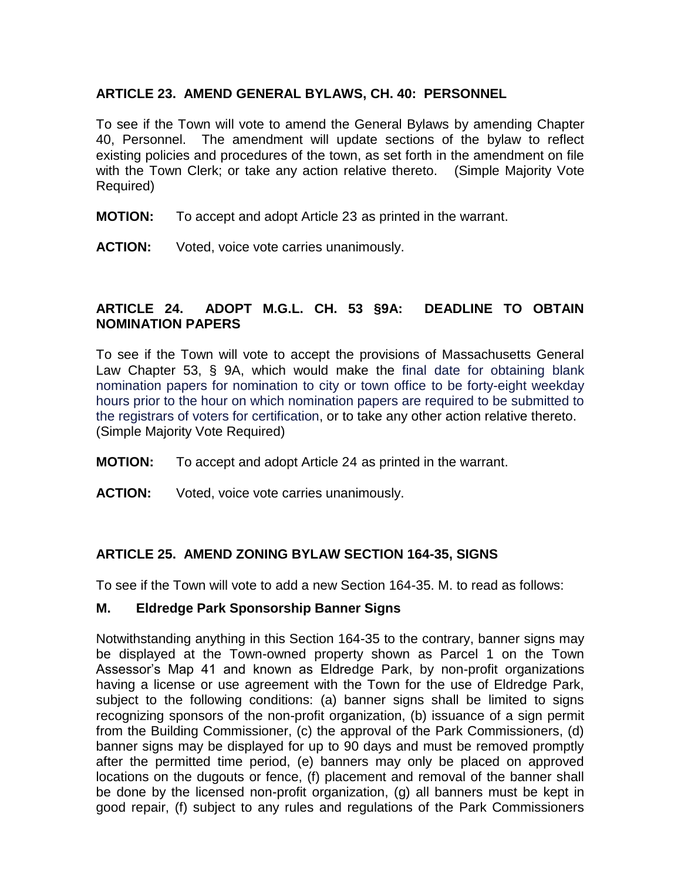### **ARTICLE 23. AMEND GENERAL BYLAWS, CH. 40: PERSONNEL**

To see if the Town will vote to amend the General Bylaws by amending Chapter 40, Personnel. The amendment will update sections of the bylaw to reflect existing policies and procedures of the town, as set forth in the amendment on file with the Town Clerk; or take any action relative thereto. (Simple Majority Vote Required)

- **MOTION:** To accept and adopt Article 23 as printed in the warrant.
- **ACTION:** Voted, voice vote carries unanimously.

### **ARTICLE 24. ADOPT M.G.L. CH. 53 §9A: DEADLINE TO OBTAIN NOMINATION PAPERS**

To see if the Town will vote to accept the provisions of Massachusetts General Law Chapter 53, § 9A, which would make the final date for obtaining blank nomination papers for nomination to city or town office to be forty-eight weekday hours prior to the hour on which nomination papers are required to be submitted to the registrars of voters for certification, or to take any other action relative thereto. (Simple Majority Vote Required)

- **MOTION:** To accept and adopt Article 24 as printed in the warrant.
- **ACTION:** Voted, voice vote carries unanimously.

### **ARTICLE 25. AMEND ZONING BYLAW SECTION 164-35, SIGNS**

To see if the Town will vote to add a new Section 164-35. M. to read as follows:

### **M. Eldredge Park Sponsorship Banner Signs**

Notwithstanding anything in this Section 164-35 to the contrary, banner signs may be displayed at the Town-owned property shown as Parcel 1 on the Town Assessor's Map 41 and known as Eldredge Park, by non-profit organizations having a license or use agreement with the Town for the use of Eldredge Park, subject to the following conditions: (a) banner signs shall be limited to signs recognizing sponsors of the non-profit organization, (b) issuance of a sign permit from the Building Commissioner, (c) the approval of the Park Commissioners, (d) banner signs may be displayed for up to 90 days and must be removed promptly after the permitted time period, (e) banners may only be placed on approved locations on the dugouts or fence, (f) placement and removal of the banner shall be done by the licensed non-profit organization, (g) all banners must be kept in good repair, (f) subject to any rules and regulations of the Park Commissioners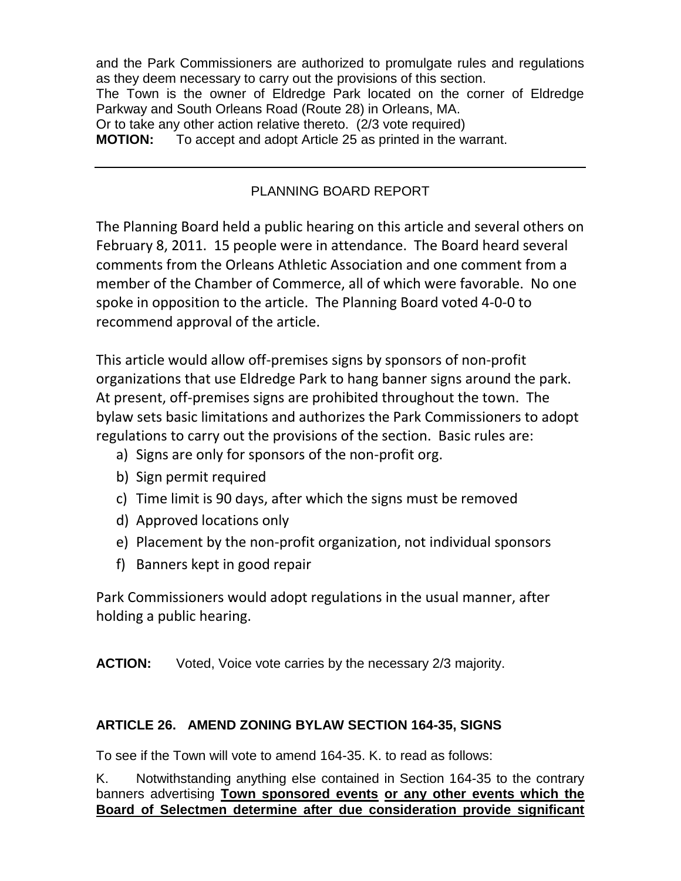and the Park Commissioners are authorized to promulgate rules and regulations as they deem necessary to carry out the provisions of this section. The Town is the owner of Eldredge Park located on the corner of Eldredge Parkway and South Orleans Road (Route 28) in Orleans, MA. Or to take any other action relative thereto. (2/3 vote required) **MOTION:** To accept and adopt Article 25 as printed in the warrant.

# PLANNING BOARD REPORT

The Planning Board held a public hearing on this article and several others on February 8, 2011. 15 people were in attendance. The Board heard several comments from the Orleans Athletic Association and one comment from a member of the Chamber of Commerce, all of which were favorable. No one spoke in opposition to the article. The Planning Board voted 4-0-0 to recommend approval of the article.

This article would allow off-premises signs by sponsors of non-profit organizations that use Eldredge Park to hang banner signs around the park. At present, off-premises signs are prohibited throughout the town. The bylaw sets basic limitations and authorizes the Park Commissioners to adopt regulations to carry out the provisions of the section. Basic rules are:

- a) Signs are only for sponsors of the non-profit org.
- b) Sign permit required
- c) Time limit is 90 days, after which the signs must be removed
- d) Approved locations only
- e) Placement by the non-profit organization, not individual sponsors
- f) Banners kept in good repair

Park Commissioners would adopt regulations in the usual manner, after holding a public hearing.

**ACTION:** Voted, Voice vote carries by the necessary 2/3 majority.

# **ARTICLE 26. AMEND ZONING BYLAW SECTION 164-35, SIGNS**

To see if the Town will vote to amend 164-35. K. to read as follows:

K. Notwithstanding anything else contained in Section 164-35 to the contrary banners advertising **Town sponsored events or any other events which the Board of Selectmen determine after due consideration provide significant**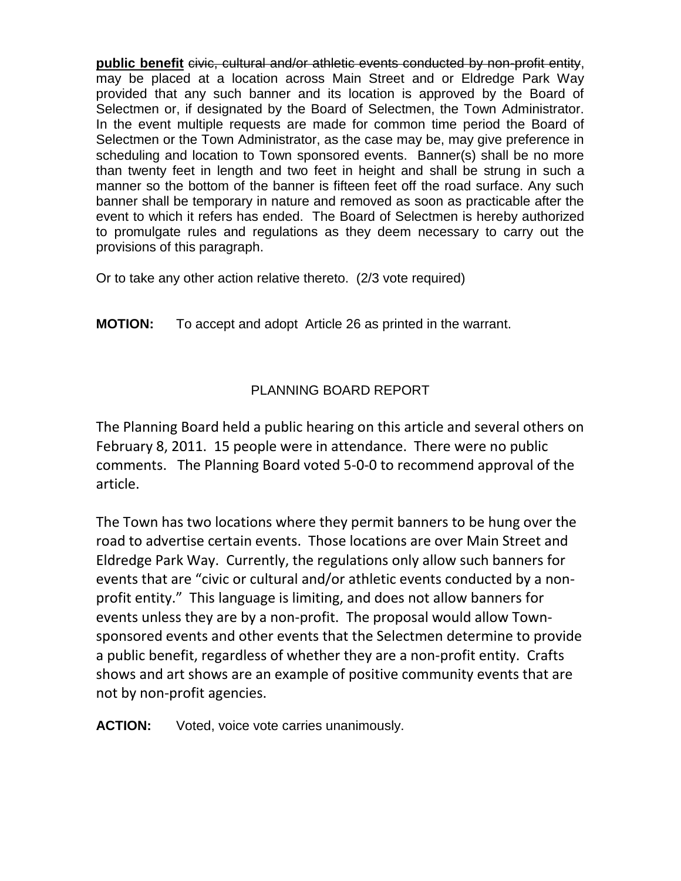**public benefit** civic, cultural and/or athletic events conducted by non-profit entity, may be placed at a location across Main Street and or Eldredge Park Way provided that any such banner and its location is approved by the Board of Selectmen or, if designated by the Board of Selectmen, the Town Administrator. In the event multiple requests are made for common time period the Board of Selectmen or the Town Administrator, as the case may be, may give preference in scheduling and location to Town sponsored events. Banner(s) shall be no more than twenty feet in length and two feet in height and shall be strung in such a manner so the bottom of the banner is fifteen feet off the road surface. Any such banner shall be temporary in nature and removed as soon as practicable after the event to which it refers has ended. The Board of Selectmen is hereby authorized to promulgate rules and regulations as they deem necessary to carry out the provisions of this paragraph.

Or to take any other action relative thereto. (2/3 vote required)

**MOTION:** To accept and adopt Article 26 as printed in the warrant.

# PLANNING BOARD REPORT

The Planning Board held a public hearing on this article and several others on February 8, 2011. 15 people were in attendance. There were no public comments. The Planning Board voted 5-0-0 to recommend approval of the article.

The Town has two locations where they permit banners to be hung over the road to advertise certain events. Those locations are over Main Street and Eldredge Park Way. Currently, the regulations only allow such banners for events that are "civic or cultural and/or athletic events conducted by a nonprofit entity." This language is limiting, and does not allow banners for events unless they are by a non-profit. The proposal would allow Townsponsored events and other events that the Selectmen determine to provide a public benefit, regardless of whether they are a non-profit entity. Crafts shows and art shows are an example of positive community events that are not by non-profit agencies.

**ACTION:** Voted, voice vote carries unanimously.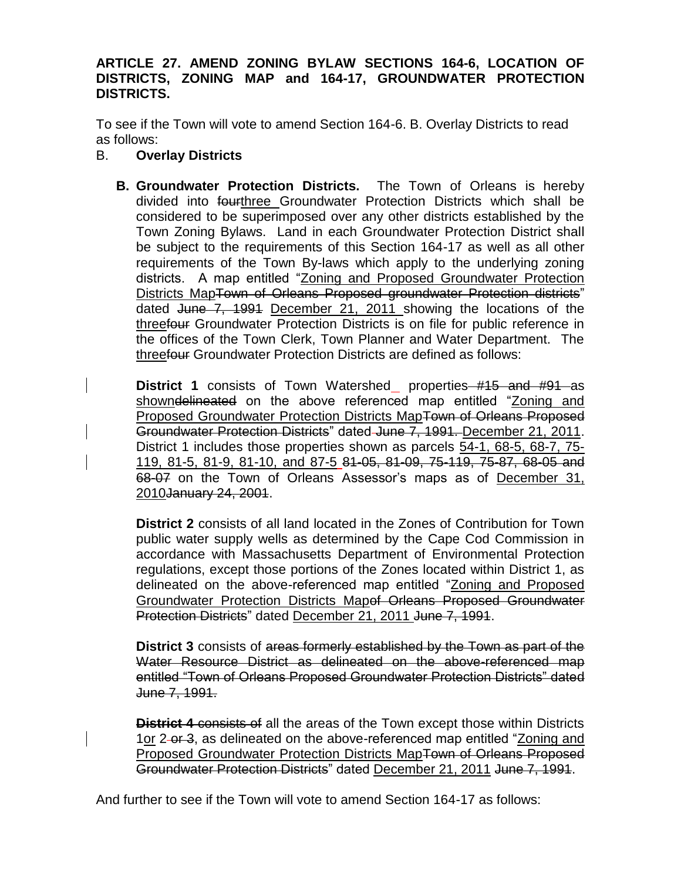#### **ARTICLE 27. AMEND ZONING BYLAW SECTIONS 164-6, LOCATION OF DISTRICTS, ZONING MAP and 164-17, GROUNDWATER PROTECTION DISTRICTS.**

To see if the Town will vote to amend Section 164-6. B. Overlay Districts to read as follows:

- B. **Overlay Districts**
	- **B. Groundwater Protection Districts.** The Town of Orleans is hereby divided into fourthree Groundwater Protection Districts which shall be considered to be superimposed over any other districts established by the Town Zoning Bylaws. Land in each Groundwater Protection District shall be subject to the requirements of this Section 164-17 as well as all other requirements of the Town By-laws which apply to the underlying zoning districts. A map entitled "Zoning and Proposed Groundwater Protection Districts MapTown of Orleans Proposed groundwater Protection districts" dated June 7, 1991 December 21, 2011 showing the locations of the threefour Groundwater Protection Districts is on file for public reference in the offices of the Town Clerk, Town Planner and Water Department. The threefour Groundwater Protection Districts are defined as follows:

**District 1** consists of Town Watershed properties #15 and #91 as showndelineated on the above referenced map entitled "Zoning and Proposed Groundwater Protection Districts MapTown of Orleans Proposed Groundwater Protection Districts" dated June 7, 1991. December 21, 2011. District 1 includes those properties shown as parcels 54-1, 68-5, 68-7, 75- 119, 81-5, 81-9, 81-10, and 87-5 81-05, 81-09, 75-119, 75-87, 68-05 and 68-07 on the Town of Orleans Assessor's maps as of December 31, 2010January 24, 2001.

**District 2** consists of all land located in the Zones of Contribution for Town public water supply wells as determined by the Cape Cod Commission in accordance with Massachusetts Department of Environmental Protection regulations, except those portions of the Zones located within District 1, as delineated on the above-referenced map entitled "Zoning and Proposed Groundwater Protection Districts Mapof Orleans Proposed Groundwater Protection Districts" dated December 21, 2011 June 7, 1991.

**District 3** consists of areas formerly established by the Town as part of the Water Resource District as delineated on the above-referenced map entitled "Town of Orleans Proposed Groundwater Protection Districts" dated June 7, 1991.

**District 4** consists of all the areas of the Town except those within Districts 1or 2-or 3, as delineated on the above-referenced map entitled "Zoning and Proposed Groundwater Protection Districts MapTown of Orleans Proposed Groundwater Protection Districts" dated December 21, 2011 June 7, 1991.

And further to see if the Town will vote to amend Section 164-17 as follows: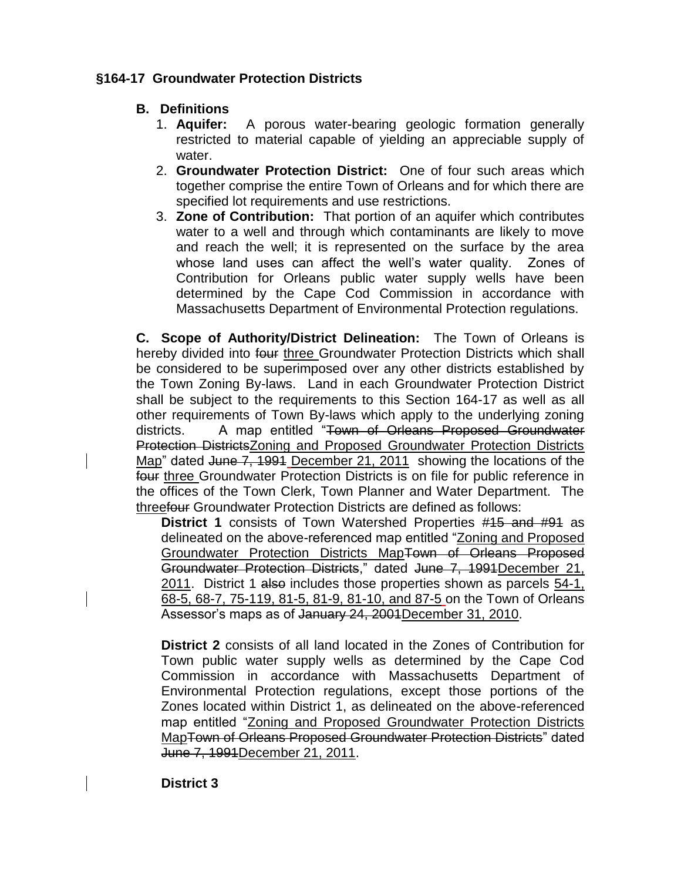## **§164-17 Groundwater Protection Districts**

## **B. Definitions**

- 1. **Aquifer:** A porous water-bearing geologic formation generally restricted to material capable of yielding an appreciable supply of water.
- 2. **Groundwater Protection District:** One of four such areas which together comprise the entire Town of Orleans and for which there are specified lot requirements and use restrictions.
- 3. **Zone of Contribution:** That portion of an aquifer which contributes water to a well and through which contaminants are likely to move and reach the well; it is represented on the surface by the area whose land uses can affect the well's water quality. Zones of Contribution for Orleans public water supply wells have been determined by the Cape Cod Commission in accordance with Massachusetts Department of Environmental Protection regulations.

**C. Scope of Authority/District Delineation:** The Town of Orleans is hereby divided into four three Groundwater Protection Districts which shall be considered to be superimposed over any other districts established by the Town Zoning By-laws. Land in each Groundwater Protection District shall be subject to the requirements to this Section 164-17 as well as all other requirements of Town By-laws which apply to the underlying zoning districts. A map entitled "Town of Orleans Proposed Groundwater Protection DistrictsZoning and Proposed Groundwater Protection Districts Map" dated June 7, 1991 December 21, 2011 showing the locations of the four three Groundwater Protection Districts is on file for public reference in the offices of the Town Clerk, Town Planner and Water Department. The threefour Groundwater Protection Districts are defined as follows:

**District 1** consists of Town Watershed Properties #15 and #91 as delineated on the above-referenced map entitled "Zoning and Proposed Groundwater Protection Districts MapTown of Orleans Proposed Groundwater Protection Districts," dated June 7, 1991December 21, 2011. District 1 also includes those properties shown as parcels 54-1, 68-5, 68-7, 75-119, 81-5, 81-9, 81-10, and 87-5 on the Town of Orleans Assessor's maps as of January 24, 2004 December 31, 2010.

**District 2** consists of all land located in the Zones of Contribution for Town public water supply wells as determined by the Cape Cod Commission in accordance with Massachusetts Department of Environmental Protection regulations, except those portions of the Zones located within District 1, as delineated on the above-referenced map entitled "Zoning and Proposed Groundwater Protection Districts MapTown of Orleans Proposed Groundwater Protection Districts" dated June 7, 1991December 21, 2011.

**District 3**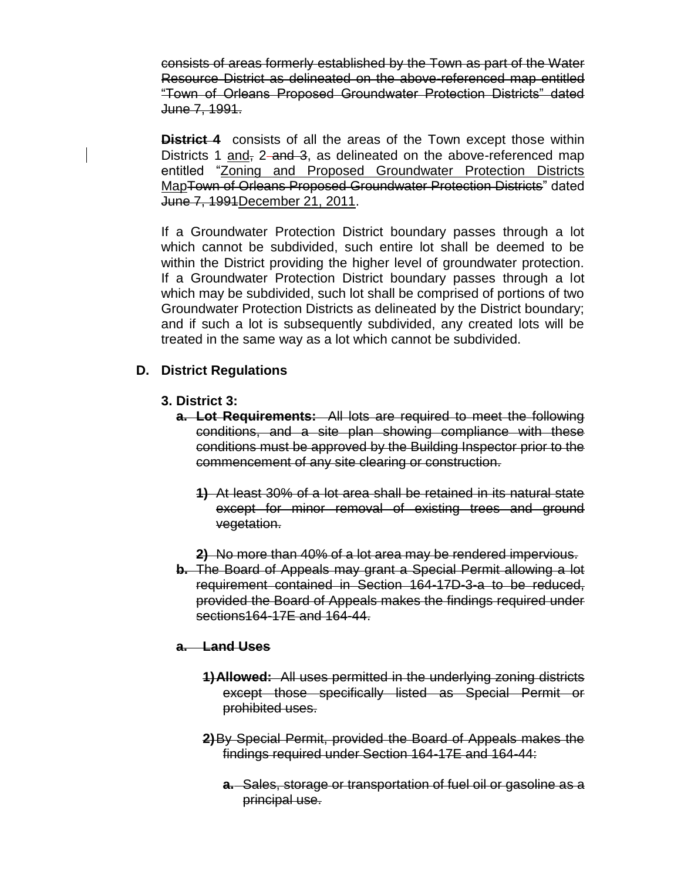consists of areas formerly established by the Town as part of the Water Resource District as delineated on the above-referenced map entitled "Town of Orleans Proposed Groundwater Protection Districts" dated June 7, 1991.

**District 4** consists of all the areas of the Town except those within Districts 1 and, 2-and 3, as delineated on the above-referenced map entitled "Zoning and Proposed Groundwater Protection Districts MapTown of Orleans Proposed Groundwater Protection Districts" dated June 7, 1991December 21, 2011.

If a Groundwater Protection District boundary passes through a lot which cannot be subdivided, such entire lot shall be deemed to be within the District providing the higher level of groundwater protection. If a Groundwater Protection District boundary passes through a lot which may be subdivided, such lot shall be comprised of portions of two Groundwater Protection Districts as delineated by the District boundary; and if such a lot is subsequently subdivided, any created lots will be treated in the same way as a lot which cannot be subdivided.

## **D. District Regulations**

- **3. District 3:**
	- **a. Lot Requirements:** All lots are required to meet the following conditions, and a site plan showing compliance with these conditions must be approved by the Building Inspector prior to the commencement of any site clearing or construction.
		- **1)** At least 30% of a lot area shall be retained in its natural state except for minor removal of existing trees and ground vegetation.
		- **2)** No more than 40% of a lot area may be rendered impervious.
	- **b.** The Board of Appeals may grant a Special Permit allowing a lot requirement contained in Section 164-17D-3-a to be reduced, provided the Board of Appeals makes the findings required under sections164-17E and 164-44.

### **a. Land Uses**

- **1)Allowed:** All uses permitted in the underlying zoning districts except those specifically listed as Special Permit or prohibited uses.
- **2)**By Special Permit, provided the Board of Appeals makes the findings required under Section 164-17E and 164-44:
	- **a.** Sales, storage or transportation of fuel oil or gasoline as a principal use.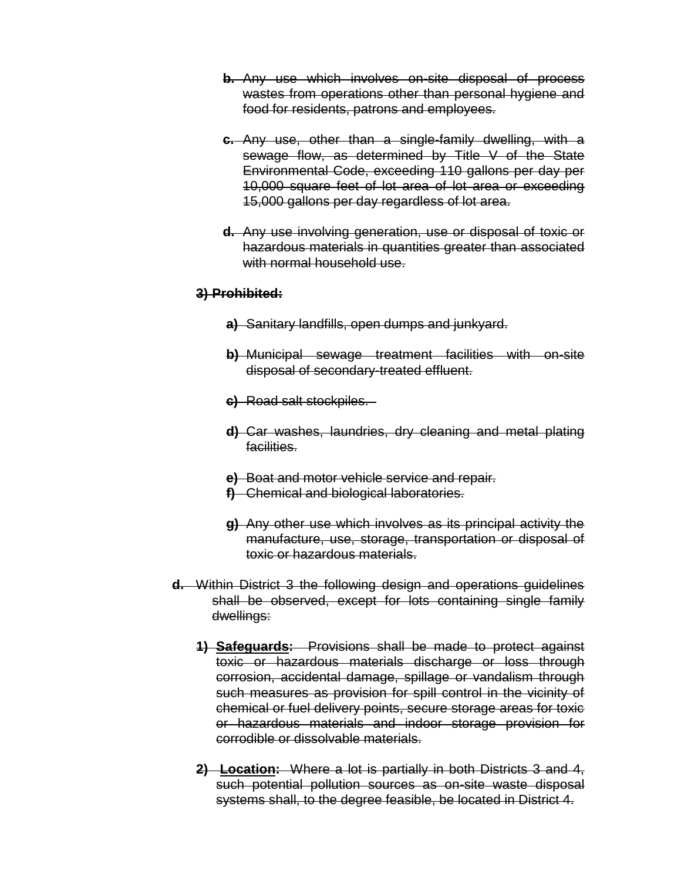- **b.** Any use which involves on-site disposal of process wastes from operations other than personal hygiene and food for residents, patrons and employees.
- **c.** Any use, other than a single-family dwelling, with a sewage flow, as determined by Title V of the State Environmental Code, exceeding 110 gallons per day per 10,000 square feet of lot area of lot area or exceeding 15,000 gallons per day regardless of lot area.
- **d.** Any use involving generation, use or disposal of toxic or hazardous materials in quantities greater than associated with normal household use.

#### **3) Prohibited:**

- **a)** Sanitary landfills, open dumps and junkyard.
- **b)** Municipal sewage treatment facilities with on-site disposal of secondary-treated effluent.
- **c)** Road salt stockpiles.
- **d)** Car washes, laundries, dry cleaning and metal plating facilities.
- **e)** Boat and motor vehicle service and repair.
- **f)** Chemical and biological laboratories.
- **g)** Any other use which involves as its principal activity the manufacture, use, storage, transportation or disposal of toxic or hazardous materials.
- **d.** Within District 3 the following design and operations guidelines shall be observed, except for lots containing single family dwellings:
	- **1) Safeguards:** Provisions shall be made to protect against toxic or hazardous materials discharge or loss through corrosion, accidental damage, spillage or vandalism through such measures as provision for spill control in the vicinity of chemical or fuel delivery points, secure storage areas for toxic or hazardous materials and indoor storage provision for corrodible or dissolvable materials.
	- **2) Location:** Where a lot is partially in both Districts 3 and 4, such potential pollution sources as on-site waste disposal systems shall, to the degree feasible, be located in District 4.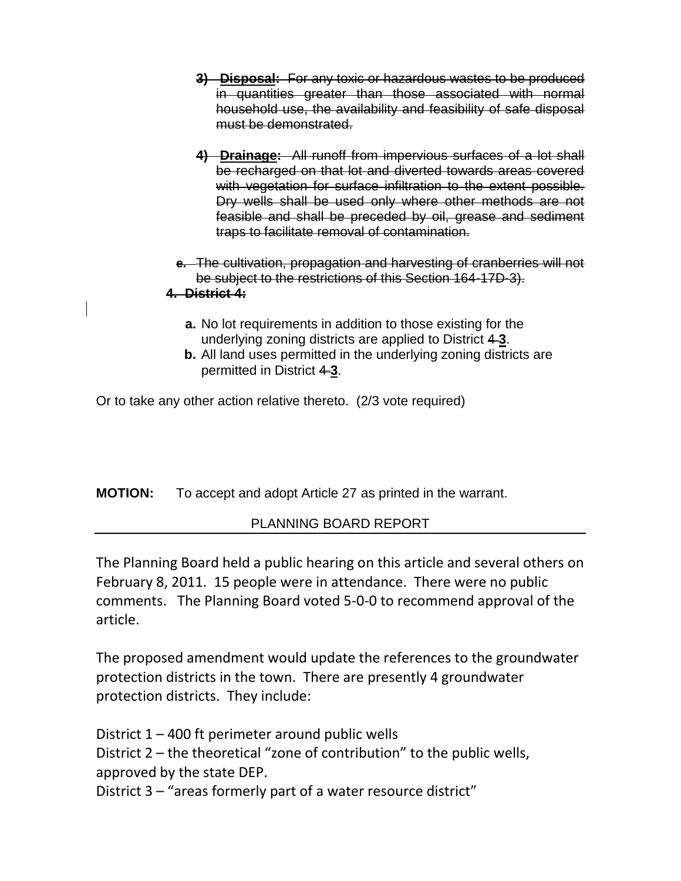- **3) Disposal:** For any toxic or hazardous wastes to be produced in quantities greater than those associated with normal household use, the availability and feasibility of safe disposal must be demonstrated.
- **4) Drainage:** All runoff from impervious surfaces of a lot shall be recharged on that lot and diverted towards areas covered with vegetation for surface infiltration to the extent possible. Dry wells shall be used only where other methods are not feasible and shall be preceded by oil, grease and sediment traps to facilitate removal of contamination.
- **e.** The cultivation, propagation and harvesting of cranberries will not be subject to the restrictions of this Section 164-17D-3).

## **4. District 4:**

- **a.** No lot requirements in addition to those existing for the underlying zoning districts are applied to District 4 **3**.
- **b.** All land uses permitted in the underlying zoning districts are permitted in District 43.

Or to take any other action relative thereto. (2/3 vote required)

**MOTION:** To accept and adopt Article 27 as printed in the warrant.

# PLANNING BOARD REPORT

The Planning Board held a public hearing on this article and several others on February 8, 2011. 15 people were in attendance. There were no public comments. The Planning Board voted 5-0-0 to recommend approval of the article.

The proposed amendment would update the references to the groundwater protection districts in the town. There are presently 4 groundwater protection districts. They include:

District 1 – 400 ft perimeter around public wells District 2 – the theoretical "zone of contribution" to the public wells, approved by the state DEP.

District 3 – "areas formerly part of a water resource district"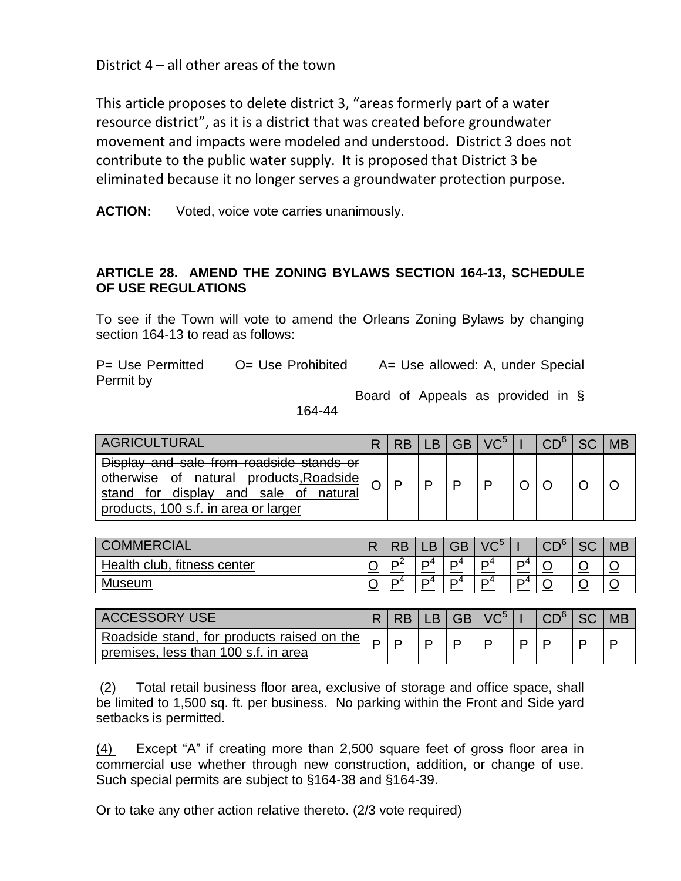District 4 – all other areas of the town

This article proposes to delete district 3, "areas formerly part of a water resource district", as it is a district that was created before groundwater movement and impacts were modeled and understood. District 3 does not contribute to the public water supply. It is proposed that District 3 be eliminated because it no longer serves a groundwater protection purpose.

**ACTION:** Voted, voice vote carries unanimously.

### **ARTICLE 28. AMEND THE ZONING BYLAWS SECTION 164-13, SCHEDULE OF USE REGULATIONS**

To see if the Town will vote to amend the Orleans Zoning Bylaws by changing section 164-13 to read as follows:

P= Use Permitted O= Use Prohibited A= Use allowed: A, under Special Permit by

Board of Appeals as provided in §

164-44

| <b>AGRICULTURAL</b>                                                                                                                                                        |  | R | $\sqrt{C^5}$ |  |  |
|----------------------------------------------------------------------------------------------------------------------------------------------------------------------------|--|---|--------------|--|--|
| Display and sale from roadside stands or<br>otherwise of natural products, Roadside<br>stand for display and<br>sale of<br>natural<br>products, 100 s.f. in area or larger |  |   | ם            |  |  |

| <b>OMMERCIAL</b><br>l CO       | '' | OP | LΒ             | GB             | VC <sub>2</sub> |   | $\sim$ n $\circ$ | r c<br>ںں | <b>MB</b> |
|--------------------------------|----|----|----------------|----------------|-----------------|---|------------------|-----------|-----------|
| fitness center<br>Health club, |    | m4 | m4             | D <sup>4</sup> | D <sup>4</sup>  | D |                  |           |           |
| Museum                         |    |    | D <sup>4</sup> | D <sup>4</sup> | D <sup>4</sup>  | D |                  |           |           |

| <b>ACCESSORY USE</b>                       |  | <b>GB</b> | $\sqrt{C^2}$ |  | <b>MB</b> |
|--------------------------------------------|--|-----------|--------------|--|-----------|
| Roadside stand, for products raised on the |  |           |              |  |           |
| premises, less than 100 s.f. in area       |  |           |              |  |           |

(2) Total retail business floor area, exclusive of storage and office space, shall be limited to 1,500 sq. ft. per business. No parking within the Front and Side yard setbacks is permitted.

(4) Except "A" if creating more than 2,500 square feet of gross floor area in commercial use whether through new construction, addition, or change of use. Such special permits are subject to §164-38 and §164-39.

Or to take any other action relative thereto. (2/3 vote required)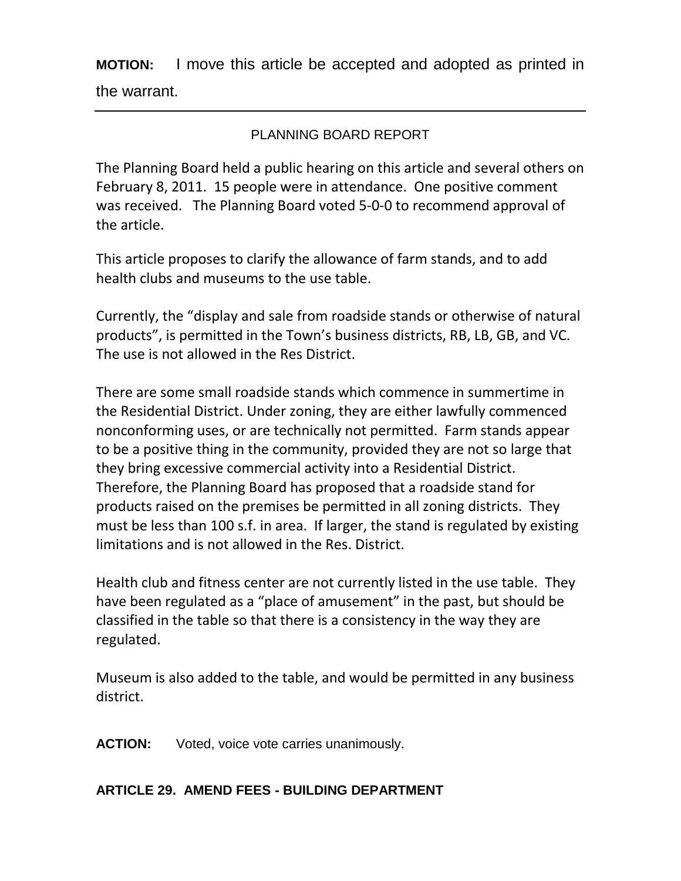**MOTION:** I move this article be accepted and adopted as printed in the warrant.

# PLANNING BOARD REPORT

The Planning Board held a public hearing on this article and several others on February 8, 2011. 15 people were in attendance. One positive comment was received. The Planning Board voted 5-0-0 to recommend approval of the article.

This article proposes to clarify the allowance of farm stands, and to add health clubs and museums to the use table.

Currently, the "display and sale from roadside stands or otherwise of natural products", is permitted in the Town's business districts, RB, LB, GB, and VC. The use is not allowed in the Res District.

There are some small roadside stands which commence in summertime in the Residential District. Under zoning, they are either lawfully commenced nonconforming uses, or are technically not permitted. Farm stands appear to be a positive thing in the community, provided they are not so large that they bring excessive commercial activity into a Residential District. Therefore, the Planning Board has proposed that a roadside stand for products raised on the premises be permitted in all zoning districts. They must be less than 100 s.f. in area. If larger, the stand is regulated by existing limitations and is not allowed in the Res. District.

Health club and fitness center are not currently listed in the use table. They have been regulated as a "place of amusement" in the past, but should be classified in the table so that there is a consistency in the way they are regulated.

Museum is also added to the table, and would be permitted in any business district.

**ACTION:** Voted, voice vote carries unanimously.

## **ARTICLE 29. AMEND FEES - BUILDING DEPARTMENT**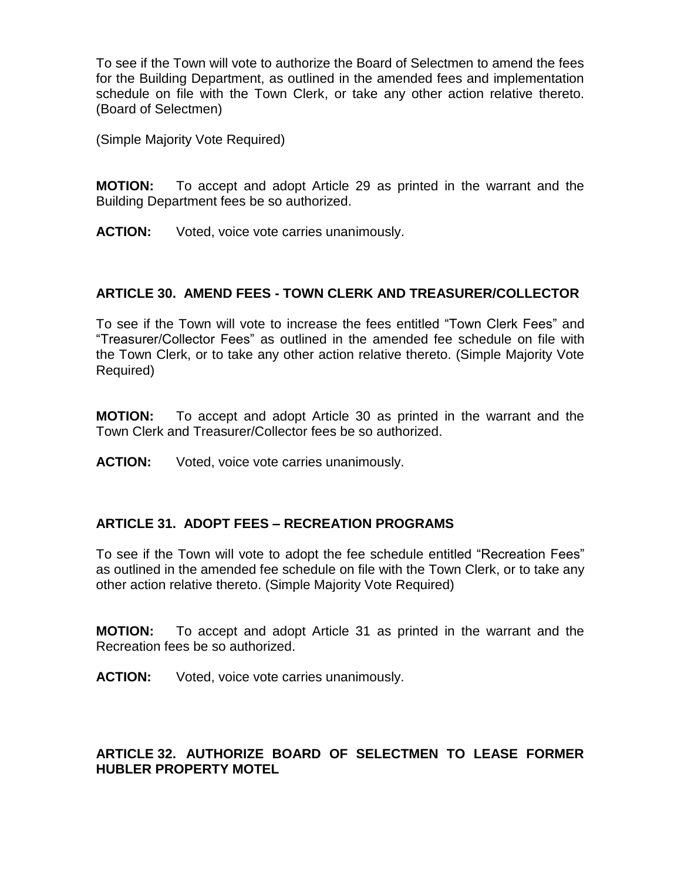To see if the Town will vote to authorize the Board of Selectmen to amend the fees for the Building Department, as outlined in the amended fees and implementation schedule on file with the Town Clerk, or take any other action relative thereto. (Board of Selectmen)

(Simple Majority Vote Required)

**MOTION:** To accept and adopt Article 29 as printed in the warrant and the Building Department fees be so authorized.

**ACTION:** Voted, voice vote carries unanimously.

### **ARTICLE 30. AMEND FEES - TOWN CLERK AND TREASURER/COLLECTOR**

To see if the Town will vote to increase the fees entitled "Town Clerk Fees" and "Treasurer/Collector Fees" as outlined in the amended fee schedule on file with the Town Clerk, or to take any other action relative thereto. (Simple Majority Vote Required)

**MOTION:** To accept and adopt Article 30 as printed in the warrant and the Town Clerk and Treasurer/Collector fees be so authorized.

**ACTION:** Voted, voice vote carries unanimously.

### **ARTICLE 31. ADOPT FEES – RECREATION PROGRAMS**

To see if the Town will vote to adopt the fee schedule entitled "Recreation Fees" as outlined in the amended fee schedule on file with the Town Clerk, or to take any other action relative thereto. (Simple Majority Vote Required)

**MOTION:** To accept and adopt Article 31 as printed in the warrant and the Recreation fees be so authorized.

**ACTION:** Voted, voice vote carries unanimously.

## **ARTICLE 32. AUTHORIZE BOARD OF SELECTMEN TO LEASE FORMER HUBLER PROPERTY MOTEL**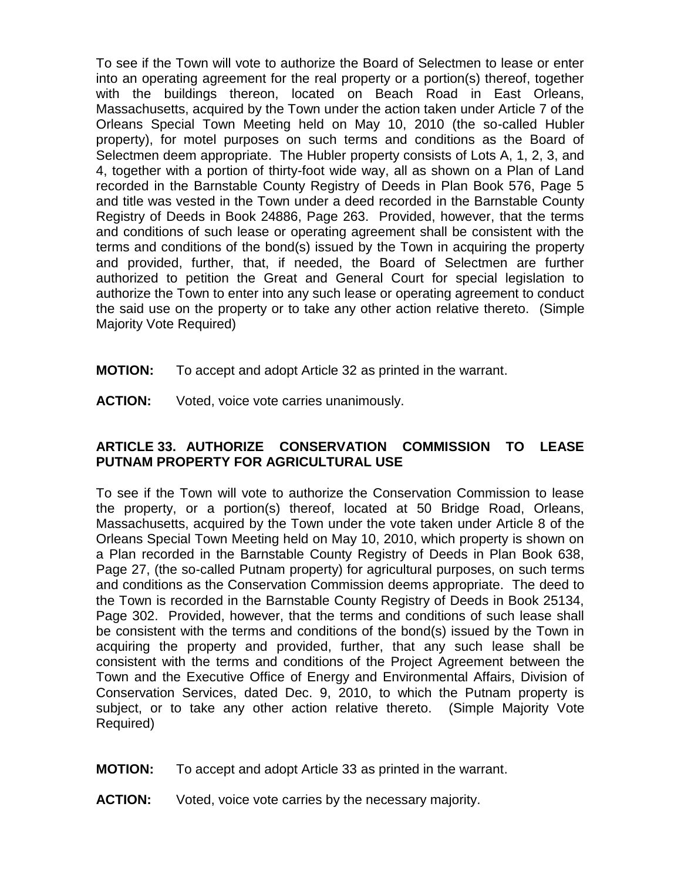To see if the Town will vote to authorize the Board of Selectmen to lease or enter into an operating agreement for the real property or a portion(s) thereof, together with the buildings thereon, located on Beach Road in East Orleans, Massachusetts, acquired by the Town under the action taken under Article 7 of the Orleans Special Town Meeting held on May 10, 2010 (the so-called Hubler property), for motel purposes on such terms and conditions as the Board of Selectmen deem appropriate. The Hubler property consists of Lots A, 1, 2, 3, and 4, together with a portion of thirty-foot wide way, all as shown on a Plan of Land recorded in the Barnstable County Registry of Deeds in Plan Book 576, Page 5 and title was vested in the Town under a deed recorded in the Barnstable County Registry of Deeds in Book 24886, Page 263. Provided, however, that the terms and conditions of such lease or operating agreement shall be consistent with the terms and conditions of the bond(s) issued by the Town in acquiring the property and provided, further, that, if needed, the Board of Selectmen are further authorized to petition the Great and General Court for special legislation to authorize the Town to enter into any such lease or operating agreement to conduct the said use on the property or to take any other action relative thereto. (Simple Majority Vote Required)

- **MOTION:** To accept and adopt Article 32 as printed in the warrant.
- **ACTION:** Voted, voice vote carries unanimously.

## **ARTICLE 33. AUTHORIZE CONSERVATION COMMISSION TO LEASE PUTNAM PROPERTY FOR AGRICULTURAL USE**

To see if the Town will vote to authorize the Conservation Commission to lease the property, or a portion(s) thereof, located at 50 Bridge Road, Orleans, Massachusetts, acquired by the Town under the vote taken under Article 8 of the Orleans Special Town Meeting held on May 10, 2010, which property is shown on a Plan recorded in the Barnstable County Registry of Deeds in Plan Book 638, Page 27, (the so-called Putnam property) for agricultural purposes, on such terms and conditions as the Conservation Commission deems appropriate. The deed to the Town is recorded in the Barnstable County Registry of Deeds in Book 25134, Page 302. Provided, however, that the terms and conditions of such lease shall be consistent with the terms and conditions of the bond(s) issued by the Town in acquiring the property and provided, further, that any such lease shall be consistent with the terms and conditions of the Project Agreement between the Town and the Executive Office of Energy and Environmental Affairs, Division of Conservation Services, dated Dec. 9, 2010, to which the Putnam property is subject, or to take any other action relative thereto. (Simple Majority Vote Required)

- **MOTION:** To accept and adopt Article 33 as printed in the warrant.
- **ACTION:** Voted, voice vote carries by the necessary majority.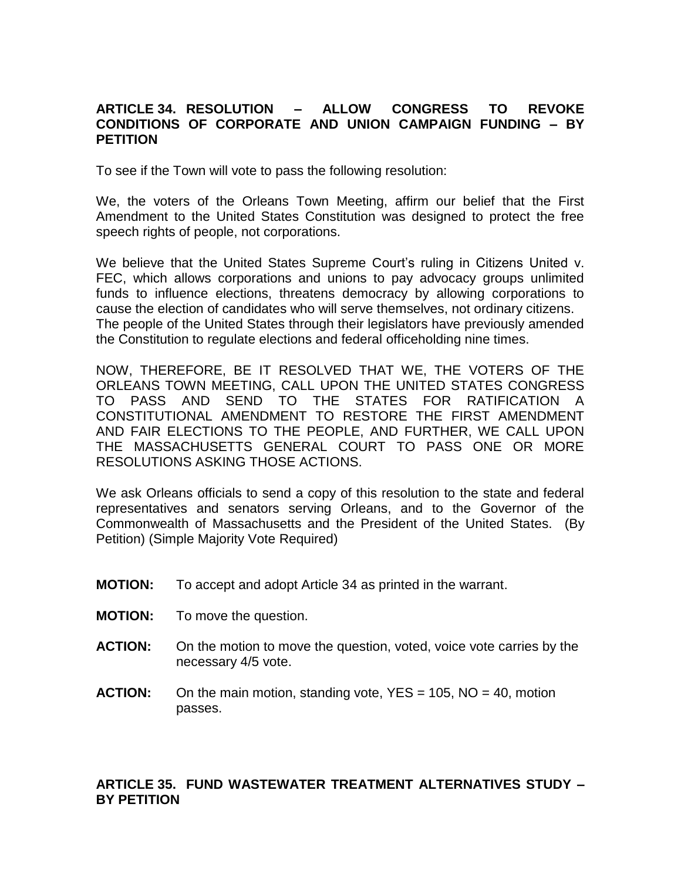### **ARTICLE 34. RESOLUTION – ALLOW CONGRESS TO REVOKE CONDITIONS OF CORPORATE AND UNION CAMPAIGN FUNDING – BY PETITION**

To see if the Town will vote to pass the following resolution:

We, the voters of the Orleans Town Meeting, affirm our belief that the First Amendment to the United States Constitution was designed to protect the free speech rights of people, not corporations.

We believe that the United States Supreme Court's ruling in Citizens United v. FEC, which allows corporations and unions to pay advocacy groups unlimited funds to influence elections, threatens democracy by allowing corporations to cause the election of candidates who will serve themselves, not ordinary citizens. The people of the United States through their legislators have previously amended the Constitution to regulate elections and federal officeholding nine times.

NOW, THEREFORE, BE IT RESOLVED THAT WE, THE VOTERS OF THE ORLEANS TOWN MEETING, CALL UPON THE UNITED STATES CONGRESS TO PASS AND SEND TO THE STATES FOR RATIFICATION A CONSTITUTIONAL AMENDMENT TO RESTORE THE FIRST AMENDMENT AND FAIR ELECTIONS TO THE PEOPLE, AND FURTHER, WE CALL UPON THE MASSACHUSETTS GENERAL COURT TO PASS ONE OR MORE RESOLUTIONS ASKING THOSE ACTIONS.

We ask Orleans officials to send a copy of this resolution to the state and federal representatives and senators serving Orleans, and to the Governor of the Commonwealth of Massachusetts and the President of the United States. (By Petition) (Simple Majority Vote Required)

- **MOTION:** To accept and adopt Article 34 as printed in the warrant.
- **MOTION:** To move the question.
- **ACTION:** On the motion to move the question, voted, voice vote carries by the necessary 4/5 vote.
- **ACTION:** On the main motion, standing vote, YES = 105, NO = 40, motion passes.

### **ARTICLE 35. FUND WASTEWATER TREATMENT ALTERNATIVES STUDY – BY PETITION**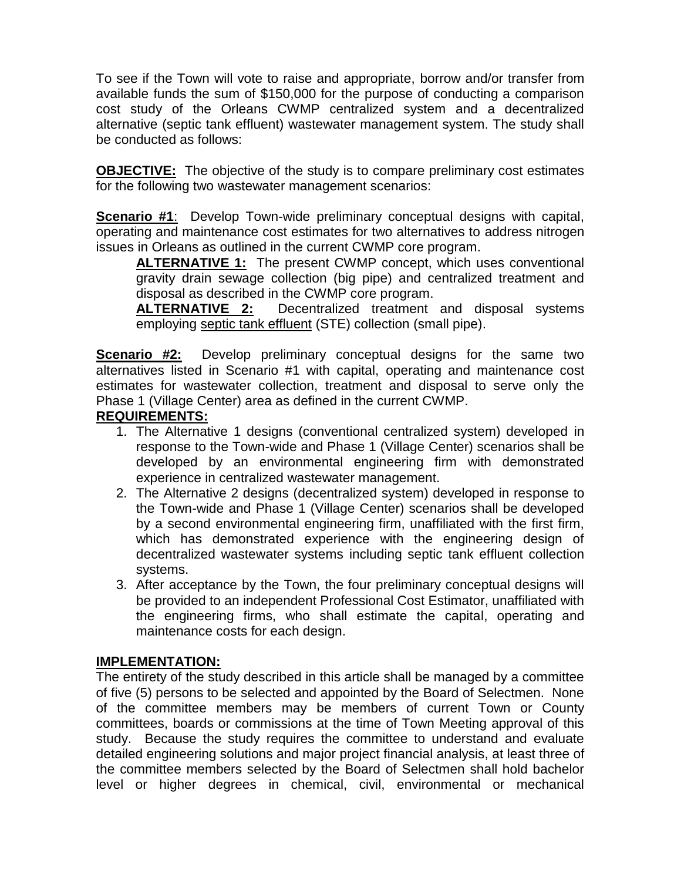To see if the Town will vote to raise and appropriate, borrow and/or transfer from available funds the sum of \$150,000 for the purpose of conducting a comparison cost study of the Orleans CWMP centralized system and a decentralized alternative (septic tank effluent) wastewater management system. The study shall be conducted as follows:

**OBJECTIVE:** The objective of the study is to compare preliminary cost estimates for the following two wastewater management scenarios:

**Scenario #1**: Develop Town-wide preliminary conceptual designs with capital, operating and maintenance cost estimates for two alternatives to address nitrogen issues in Orleans as outlined in the current CWMP core program.

**ALTERNATIVE 1:** The present CWMP concept, which uses conventional gravity drain sewage collection (big pipe) and centralized treatment and disposal as described in the CWMP core program.

**ALTERNATIVE 2:** Decentralized treatment and disposal systems employing septic tank effluent (STE) collection (small pipe).

**Scenario #2:** Develop preliminary conceptual designs for the same two alternatives listed in Scenario #1 with capital, operating and maintenance cost estimates for wastewater collection, treatment and disposal to serve only the Phase 1 (Village Center) area as defined in the current CWMP.

## **REQUIREMENTS:**

- 1. The Alternative 1 designs (conventional centralized system) developed in response to the Town-wide and Phase 1 (Village Center) scenarios shall be developed by an environmental engineering firm with demonstrated experience in centralized wastewater management.
- 2. The Alternative 2 designs (decentralized system) developed in response to the Town-wide and Phase 1 (Village Center) scenarios shall be developed by a second environmental engineering firm, unaffiliated with the first firm, which has demonstrated experience with the engineering design of decentralized wastewater systems including septic tank effluent collection systems.
- 3. After acceptance by the Town, the four preliminary conceptual designs will be provided to an independent Professional Cost Estimator, unaffiliated with the engineering firms, who shall estimate the capital, operating and maintenance costs for each design.

### **IMPLEMENTATION:**

The entirety of the study described in this article shall be managed by a committee of five (5) persons to be selected and appointed by the Board of Selectmen. None of the committee members may be members of current Town or County committees, boards or commissions at the time of Town Meeting approval of this study. Because the study requires the committee to understand and evaluate detailed engineering solutions and major project financial analysis, at least three of the committee members selected by the Board of Selectmen shall hold bachelor level or higher degrees in chemical, civil, environmental or mechanical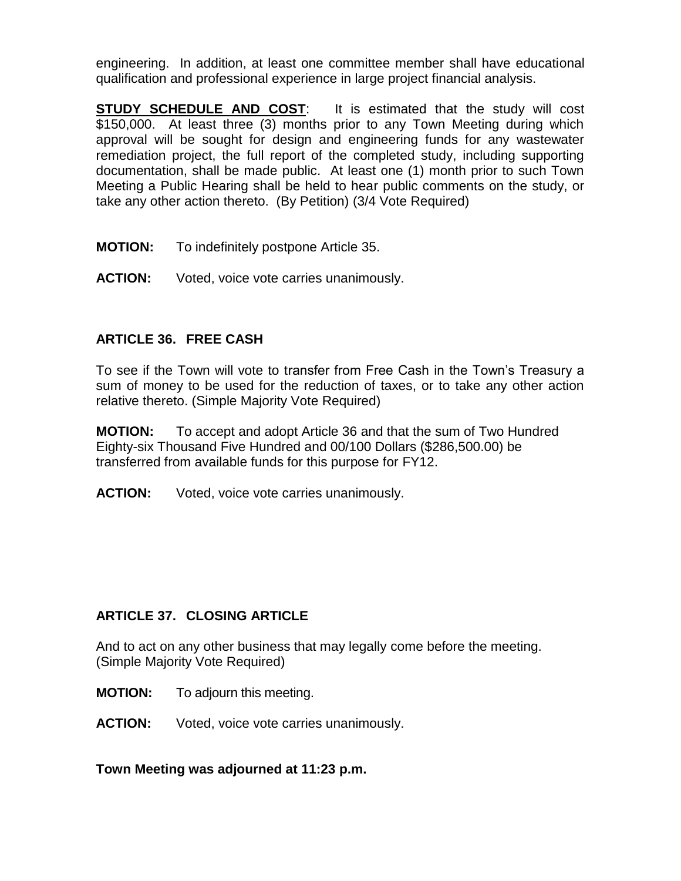engineering. In addition, at least one committee member shall have educational qualification and professional experience in large project financial analysis.

**STUDY SCHEDULE AND COST:** It is estimated that the study will cost \$150,000. At least three (3) months prior to any Town Meeting during which approval will be sought for design and engineering funds for any wastewater remediation project, the full report of the completed study, including supporting documentation, shall be made public. At least one (1) month prior to such Town Meeting a Public Hearing shall be held to hear public comments on the study, or take any other action thereto. (By Petition) (3/4 Vote Required)

- **MOTION:** To indefinitely postpone Article 35.
- **ACTION:** Voted, voice vote carries unanimously.

## **ARTICLE 36. FREE CASH**

To see if the Town will vote to transfer from Free Cash in the Town's Treasury a sum of money to be used for the reduction of taxes, or to take any other action relative thereto. (Simple Majority Vote Required)

**MOTION:** To accept and adopt Article 36 and that the sum of Two Hundred Eighty-six Thousand Five Hundred and 00/100 Dollars (\$286,500.00) be transferred from available funds for this purpose for FY12.

**ACTION:** Voted, voice vote carries unanimously.

## **ARTICLE 37. CLOSING ARTICLE**

And to act on any other business that may legally come before the meeting. (Simple Majority Vote Required)

- **MOTION:** To adjourn this meeting.
- **ACTION:** Voted, voice vote carries unanimously.

**Town Meeting was adjourned at 11:23 p.m.**